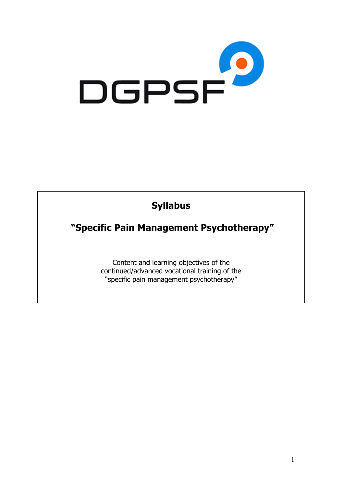

# **Syllabus**

**"Specific Pain Management Psychotherapy"**

Content and learning objectives of the continued/advanced vocational training of the "specific pain management psychotherapy"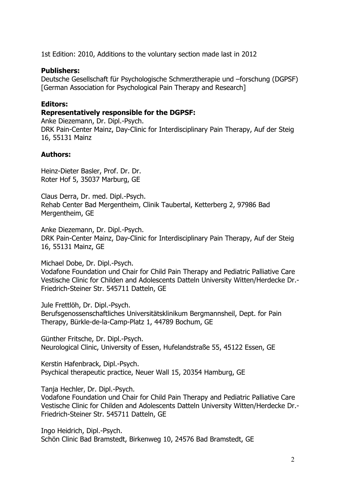1st Edition: 2010, Additions to the voluntary section made last in 2012

#### **Publishers:**

Deutsche Gesellschaft für Psychologische Schmerztherapie und –forschung (DGPSF) [German Association for Psychological Pain Therapy and Research]

#### **Editors:**

#### **Representatively responsible for the DGPSF:**

Anke Diezemann, Dr. Dipl.-Psych. DRK Pain-Center Mainz, Day-Clinic for Interdisciplinary Pain Therapy, Auf der Steig 16, 55131 Mainz

#### **Authors:**

Heinz-Dieter Basler, Prof. Dr. Dr. Roter Hof 5, 35037 Marburg, GE

Claus Derra, Dr. med. Dipl.-Psych. Rehab Center Bad Mergentheim, Clinik Taubertal, Ketterberg 2, 97986 Bad Mergentheim, GE

Anke Diezemann, Dr. Dipl.-Psych. DRK Pain-Center Mainz, Day-Clinic for Interdisciplinary Pain Therapy, Auf der Steig 16, 55131 Mainz, GE

Michael Dobe, Dr. Dipl.-Psych.

Vodafone Foundation und Chair for Child Pain Therapy and Pediatric Palliative Care Vestische Clinic for Childen and Adolescents Datteln University Witten/Herdecke Dr.- Friedrich-Steiner Str. 545711 Datteln, GE

Jule Frettlöh, Dr. Dipl.-Psych.

Berufsgenossenschaftliches Universitätsklinikum Bergmannsheil, Dept. for Pain Therapy, Bürkle-de-la-Camp-Platz 1, 44789 Bochum, GE

Günther Fritsche, Dr. Dipl.-Psych. Neurological Clinic, University of Essen, Hufelandstraße 55, 45122 Essen, GE

Kerstin Hafenbrack, Dipl.-Psych. Psychical therapeutic practice, Neuer Wall 15, 20354 Hamburg, GE

Tanja Hechler, Dr. Dipl.-Psych.

Vodafone Foundation und Chair for Child Pain Therapy and Pediatric Palliative Care Vestische Clinic for Childen and Adolescents Datteln University Witten/Herdecke Dr.- Friedrich-Steiner Str. 545711 Datteln, GE

Ingo Heidrich, Dipl.-Psych. Schön Clinic Bad Bramstedt, Birkenweg 10, 24576 Bad Bramstedt, GE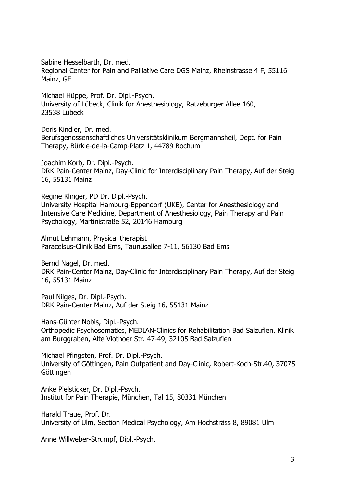Sabine Hesselbarth, Dr. med. Regional Center for Pain and Palliative Care DGS Mainz, Rheinstrasse 4 F, 55116 Mainz, GE

Michael Hüppe, Prof. Dr. Dipl.-Psych. University of Lübeck, Clinik for Anesthesiology, Ratzeburger Allee 160, 23538 Lübeck

Doris Kindler, Dr. med. Berufsgenossenschaftliches Universitätsklinikum Bergmannsheil, Dept. for Pain Therapy, Bürkle-de-la-Camp-Platz 1, 44789 Bochum

Joachim Korb, Dr. Dipl.-Psych. DRK Pain-Center Mainz, Day-Clinic for Interdisciplinary Pain Therapy, Auf der Steig 16, 55131 Mainz

Regine Klinger, PD Dr. Dipl.-Psych. University Hospital Hamburg-Eppendorf (UKE), Center for Anesthesiology and Intensive Care Medicine, Department of Anesthesiology, Pain Therapy and Pain Psychology, Martinistraße 52, 20146 Hamburg

Almut Lehmann, Physical therapist Paracelsus-Clinik Bad Ems, Taunusallee 7-11, 56130 Bad Ems

Bernd Nagel, Dr. med. DRK Pain-Center Mainz, Day-Clinic for Interdisciplinary Pain Therapy, Auf der Steig 16, 55131 Mainz

Paul Nilges, Dr. Dipl.-Psych. DRK Pain-Center Mainz, Auf der Steig 16, 55131 Mainz

Hans-Günter Nobis, Dipl.-Psych. Orthopedic Psychosomatics, MEDIAN-Clinics for Rehabilitation Bad Salzuflen, Klinik am Burggraben, Alte Vlothoer Str. 47-49, 32105 Bad Salzuflen

Michael Pfingsten, Prof. Dr. Dipl.-Psych. University of Göttingen, Pain Outpatient and Day-Clinic, Robert-Koch-Str.40, 37075 Göttingen

Anke Pielsticker, Dr. Dipl.-Psych. Institut for Pain Therapie, München, Tal 15, 80331 München

Harald Traue, Prof. Dr. University of Ulm, Section Medical Psychology, Am Hochsträss 8, 89081 Ulm

Anne Willweber-Strumpf, Dipl.-Psych.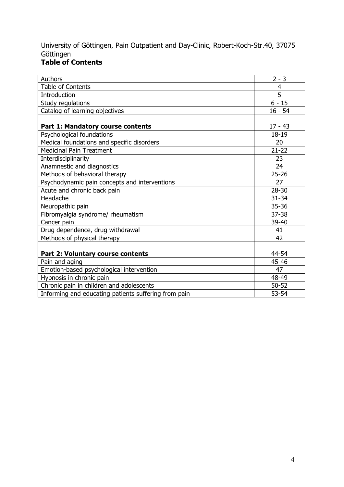## University of Göttingen, Pain Outpatient and Day-Clinic, Robert-Koch-Str.40, 37075 Göttingen

### **Table of Contents**

| Authors                                              | $2 - 3$   |
|------------------------------------------------------|-----------|
| <b>Table of Contents</b>                             | 4         |
| Introduction                                         | 5         |
| Study regulations                                    | $6 - 15$  |
| Catalog of learning objectives                       | $16 - 54$ |
|                                                      |           |
| Part 1: Mandatory course contents                    | $17 - 43$ |
| Psychological foundations                            | 18-19     |
| Medical foundations and specific disorders           | 20        |
| <b>Medicinal Pain Treatment</b>                      | $21 - 22$ |
| Interdisciplinarity                                  | 23        |
| Anamnestic and diagnostics                           | 24        |
| Methods of behavioral therapy                        | $25 - 26$ |
| Psychodynamic pain concepts and interventions        | 27        |
| Acute and chronic back pain                          | $28 - 30$ |
| Headache                                             | $31 - 34$ |
| Neuropathic pain                                     | 35-36     |
| Fibromyalgia syndrome/ rheumatism                    | 37-38     |
| Cancer pain                                          | 39-40     |
| Drug dependence, drug withdrawal                     | 41        |
| Methods of physical therapy                          | 42        |
|                                                      |           |
| Part 2: Voluntary course contents                    | 44-54     |
| Pain and aging                                       | 45-46     |
| Emotion-based psychological intervention             | 47        |
| Hypnosis in chronic pain                             | 48-49     |
| Chronic pain in children and adolescents             | $50 - 52$ |
| Informing and educating patients suffering from pain | $53 - 54$ |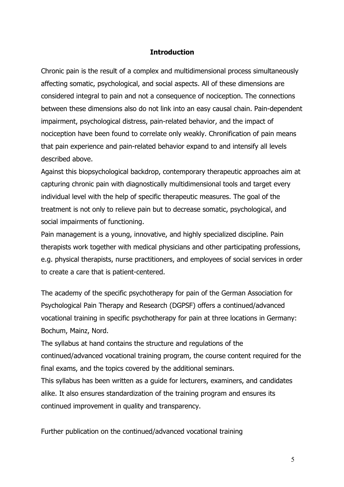#### **Introduction**

Chronic pain is the result of a complex and multidimensional process simultaneously affecting somatic, psychological, and social aspects. All of these dimensions are considered integral to pain and not a consequence of nociception. The connections between these dimensions also do not link into an easy causal chain. Pain-dependent impairment, psychological distress, pain-related behavior, and the impact of nociception have been found to correlate only weakly. Chronification of pain means that pain experience and pain-related behavior expand to and intensify all levels described above.

Against this biopsychological backdrop, contemporary therapeutic approaches aim at capturing chronic pain with diagnostically multidimensional tools and target every individual level with the help of specific therapeutic measures. The goal of the treatment is not only to relieve pain but to decrease somatic, psychological, and social impairments of functioning.

Pain management is a young, innovative, and highly specialized discipline. Pain therapists work together with medical physicians and other participating professions, e.g. physical therapists, nurse practitioners, and employees of social services in order to create a care that is patient-centered.

The academy of the specific psychotherapy for pain of the German Association for Psychological Pain Therapy and Research (DGPSF) offers a continued/advanced vocational training in specific psychotherapy for pain at three locations in Germany: Bochum, Mainz, Nord.

The syllabus at hand contains the structure and regulations of the continued/advanced vocational training program, the course content required for the final exams, and the topics covered by the additional seminars.

This syllabus has been written as a guide for lecturers, examiners, and candidates alike. It also ensures standardization of the training program and ensures its continued improvement in quality and transparency.

Further publication on the continued/advanced vocational training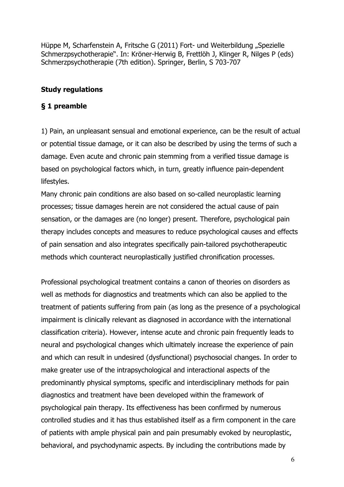Hüppe M, Scharfenstein A, Fritsche G (2011) Fort- und Weiterbildung "Spezielle Schmerzpsychotherapie". In: Kröner-Herwig B, Frettlöh J, Klinger R, Nilges P (eds) Schmerzpsychotherapie (7th edition). Springer, Berlin, S 703-707

#### **Study regulations**

#### **§ 1 preamble**

1) Pain, an unpleasant sensual and emotional experience, can be the result of actual or potential tissue damage, or it can also be described by using the terms of such a damage. Even acute and chronic pain stemming from a verified tissue damage is based on psychological factors which, in turn, greatly influence pain-dependent lifestyles.

Many chronic pain conditions are also based on so-called neuroplastic learning processes; tissue damages herein are not considered the actual cause of pain sensation, or the damages are (no longer) present. Therefore, psychological pain therapy includes concepts and measures to reduce psychological causes and effects of pain sensation and also integrates specifically pain-tailored psychotherapeutic methods which counteract neuroplastically justified chronification processes.

Professional psychological treatment contains a canon of theories on disorders as well as methods for diagnostics and treatments which can also be applied to the treatment of patients suffering from pain (as long as the presence of a psychological impairment is clinically relevant as diagnosed in accordance with the international classification criteria). However, intense acute and chronic pain frequently leads to neural and psychological changes which ultimately increase the experience of pain and which can result in undesired (dysfunctional) psychosocial changes. In order to make greater use of the intrapsychological and interactional aspects of the predominantly physical symptoms, specific and interdisciplinary methods for pain diagnostics and treatment have been developed within the framework of psychological pain therapy. Its effectiveness has been confirmed by numerous controlled studies and it has thus established itself as a firm component in the care of patients with ample physical pain and pain presumably evoked by neuroplastic, behavioral, and psychodynamic aspects. By including the contributions made by

6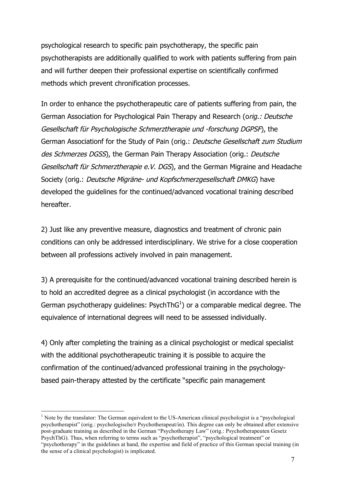psychological research to specific pain psychotherapy, the specific pain psychotherapists are additionally qualified to work with patients suffering from pain and will further deepen their professional expertise on scientifically confirmed methods which prevent chronification processes.

In order to enhance the psychotherapeutic care of patients suffering from pain, the German Association for Psychological Pain Therapy and Research (orig.: Deutsche Gesellschaft für Psychologische Schmerztherapie und -forschung DGPSF), the German Associationf for the Study of Pain (orig.: Deutsche Gesellschaft zum Studium des Schmerzes DGSS), the German Pain Therapy Association (orig.: Deutsche Gesellschaft für Schmerztherapie e.V. DGS), and the German Migraine and Headache Society (orig.: Deutsche Migräne- und Kopfschmerzgesellschaft DMKG) have developed the guidelines for the continued/advanced vocational training described hereafter.

2) Just like any preventive measure, diagnostics and treatment of chronic pain conditions can only be addressed interdisciplinary. We strive for a close cooperation between all professions actively involved in pain management.

3) A prerequisite for the continued/advanced vocational training described herein is to hold an accredited degree as a clinical psychologist (in accordance with the German psychotherapy guidelines: PsychThG $^{1}$ ) or a comparable medical degree. The equivalence of international degrees will need to be assessed individually.

4) Only after completing the training as a clinical psychologist or medical specialist with the additional psychotherapeutic training it is possible to acquire the confirmation of the continued/advanced professional training in the psychologybased pain-therapy attested by the certificate "specific pain management

<sup>&</sup>lt;sup>1</sup> Note by the translator: The German equivalent to the US-American clinical psychologist is a "psychological" psychotherapist" (orig.: psychologische/r Psychotherapeut/in). This degree can only be obtained after extensive post-graduate training as described in the German "Psychotherapy Law" (orig.: Psychotherapeuten Gesetz PsychThG). Thus, when referring to terms such as "psychotherapist", "psychological treatment" or "psychotherapy" in the guidelines at hand, the expertise and field of practice of this German special training (in the sense of a clinical psychologist) is implicated.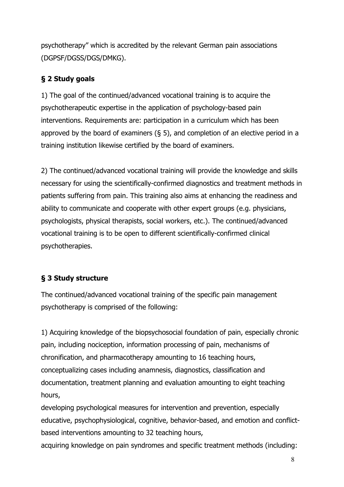psychotherapy" which is accredited by the relevant German pain associations (DGPSF/DGSS/DGS/DMKG).

### **§ 2 Study goals**

1) The goal of the continued/advanced vocational training is to acquire the psychotherapeutic expertise in the application of psychology-based pain interventions. Requirements are: participation in a curriculum which has been approved by the board of examiners  $(§ 5)$ , and completion of an elective period in a training institution likewise certified by the board of examiners.

2) The continued/advanced vocational training will provide the knowledge and skills necessary for using the scientifically-confirmed diagnostics and treatment methods in patients suffering from pain. This training also aims at enhancing the readiness and ability to communicate and cooperate with other expert groups (e.g. physicians, psychologists, physical therapists, social workers, etc.). The continued/advanced vocational training is to be open to different scientifically-confirmed clinical psychotherapies.

# **§ 3 Study structure**

The continued/advanced vocational training of the specific pain management psychotherapy is comprised of the following:

1) Acquiring knowledge of the biopsychosocial foundation of pain, especially chronic pain, including nociception, information processing of pain, mechanisms of chronification, and pharmacotherapy amounting to 16 teaching hours, conceptualizing cases including anamnesis, diagnostics, classification and documentation, treatment planning and evaluation amounting to eight teaching hours,

developing psychological measures for intervention and prevention, especially educative, psychophysiological, cognitive, behavior-based, and emotion and conflictbased interventions amounting to 32 teaching hours,

acquiring knowledge on pain syndromes and specific treatment methods (including: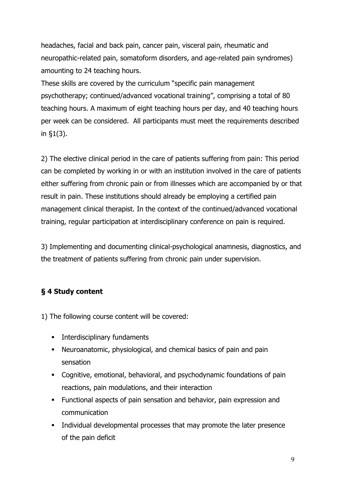headaches, facial and back pain, cancer pain, visceral pain, rheumatic and neuropathic-related pain, somatoform disorders, and age-related pain syndromes) amounting to 24 teaching hours.

These skills are covered by the curriculum "specific pain management psychotherapy; continued/advanced vocational training", comprising a total of 80 teaching hours. A maximum of eight teaching hours per day, and 40 teaching hours per week can be considered. All participants must meet the requirements described in §1(3).

2) The elective clinical period in the care of patients suffering from pain: This period can be completed by working in or with an institution involved in the care of patients either suffering from chronic pain or from illnesses which are accompanied by or that result in pain. These institutions should already be employing a certified pain management clinical therapist. In the context of the continued/advanced vocational training, regular participation at interdisciplinary conference on pain is required.

3) Implementing and documenting clinical-psychological anamnesis, diagnostics, and the treatment of patients suffering from chronic pain under supervision.

### **§ 4 Study content**

1) The following course content will be covered:

- **•** Interdisciplinary fundaments
- § Neuroanatomic, physiological, and chemical basics of pain and pain sensation
- § Cognitive, emotional, behavioral, and psychodynamic foundations of pain reactions, pain modulations, and their interaction
- § Functional aspects of pain sensation and behavior, pain expression and communication
- § Individual developmental processes that may promote the later presence of the pain deficit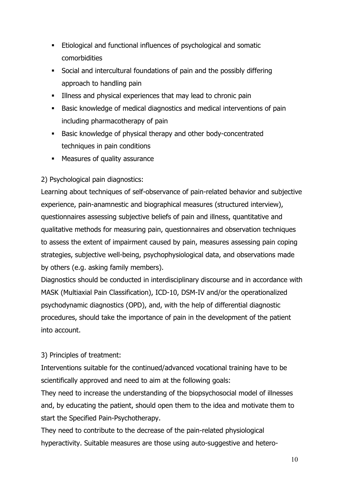- **Etiological and functional influences of psychological and somatic** comorbidities
- § Social and intercultural foundations of pain and the possibly differing approach to handling pain
- **Illness and physical experiences that may lead to chronic pain**
- Basic knowledge of medical diagnostics and medical interventions of pain including pharmacotherapy of pain
- Basic knowledge of physical therapy and other body-concentrated techniques in pain conditions
- § Measures of quality assurance

### 2) Psychological pain diagnostics:

Learning about techniques of self-observance of pain-related behavior and subjective experience, pain-anamnestic and biographical measures (structured interview), questionnaires assessing subjective beliefs of pain and illness, quantitative and qualitative methods for measuring pain, questionnaires and observation techniques to assess the extent of impairment caused by pain, measures assessing pain coping strategies, subjective well-being, psychophysiological data, and observations made by others (e.g. asking family members).

Diagnostics should be conducted in interdisciplinary discourse and in accordance with MASK (Multiaxial Pain Classification), ICD-10, DSM-IV and/or the operationalized psychodynamic diagnostics (OPD), and, with the help of differential diagnostic procedures, should take the importance of pain in the development of the patient into account.

### 3) Principles of treatment:

Interventions suitable for the continued/advanced vocational training have to be scientifically approved and need to aim at the following goals:

They need to increase the understanding of the biopsychosocial model of illnesses and, by educating the patient, should open them to the idea and motivate them to start the Specified Pain-Psychotherapy.

They need to contribute to the decrease of the pain-related physiological hyperactivity. Suitable measures are those using auto-suggestive and hetero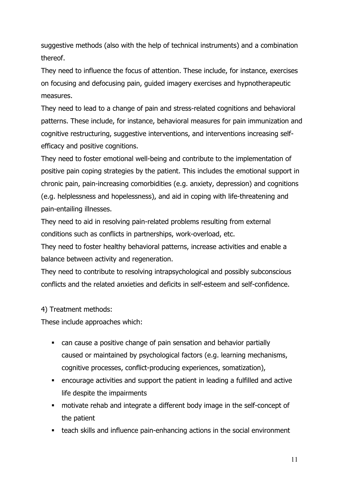suggestive methods (also with the help of technical instruments) and a combination thereof.

They need to influence the focus of attention. These include, for instance, exercises on focusing and defocusing pain, guided imagery exercises and hypnotherapeutic measures.

They need to lead to a change of pain and stress-related cognitions and behavioral patterns. These include, for instance, behavioral measures for pain immunization and cognitive restructuring, suggestive interventions, and interventions increasing selfefficacy and positive cognitions.

They need to foster emotional well-being and contribute to the implementation of positive pain coping strategies by the patient. This includes the emotional support in chronic pain, pain-increasing comorbidities (e.g. anxiety, depression) and cognitions (e.g. helplessness and hopelessness), and aid in coping with life-threatening and pain-entailing illnesses.

They need to aid in resolving pain-related problems resulting from external conditions such as conflicts in partnerships, work-overload, etc.

They need to foster healthy behavioral patterns, increase activities and enable a balance between activity and regeneration.

They need to contribute to resolving intrapsychological and possibly subconscious conflicts and the related anxieties and deficits in self-esteem and self-confidence.

### 4) Treatment methods:

These include approaches which:

- can cause a positive change of pain sensation and behavior partially caused or maintained by psychological factors (e.g. learning mechanisms, cognitive processes, conflict-producing experiences, somatization),
- **EXEDENT** encourage activities and support the patient in leading a fulfilled and active life despite the impairments
- **•** motivate rehab and integrate a different body image in the self-concept of the patient
- teach skills and influence pain-enhancing actions in the social environment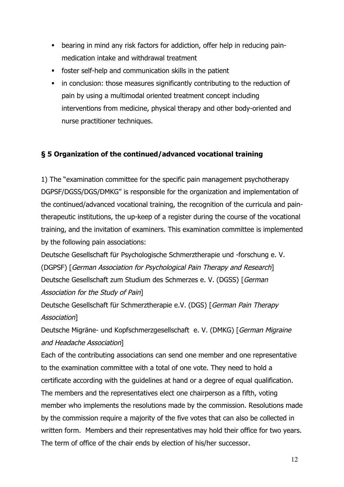- bearing in mind any risk factors for addiction, offer help in reducing painmedication intake and withdrawal treatment
- § foster self-help and communication skills in the patient
- in conclusion: those measures significantly contributing to the reduction of pain by using a multimodal oriented treatment concept including interventions from medicine, physical therapy and other body-oriented and nurse practitioner techniques.

### **§ 5 Organization of the continued/advanced vocational training**

1) The "examination committee for the specific pain management psychotherapy DGPSF/DGSS/DGS/DMKG" is responsible for the organization and implementation of the continued/advanced vocational training, the recognition of the curricula and paintherapeutic institutions, the up-keep of a register during the course of the vocational training, and the invitation of examiners. This examination committee is implemented by the following pain associations:

Deutsche Gesellschaft für Psychologische Schmerztherapie und -forschung e. V. (DGPSF) [German Association for Psychological Pain Therapy and Research] Deutsche Gesellschaft zum Studium des Schmerzes e. V. (DGSS) [German Association for the Study of Pain]

Deutsche Gesellschaft für Schmerztherapie e.V. (DGS) [German Pain Therapy Association]

Deutsche Migräne- und Kopfschmerzgesellschaft e. V. (DMKG) [German Migraine and Headache Association]

Each of the contributing associations can send one member and one representative to the examination committee with a total of one vote. They need to hold a certificate according with the guidelines at hand or a degree of equal qualification. The members and the representatives elect one chairperson as a fifth, voting member who implements the resolutions made by the commission. Resolutions made by the commission require a majority of the five votes that can also be collected in written form. Members and their representatives may hold their office for two years. The term of office of the chair ends by election of his/her successor.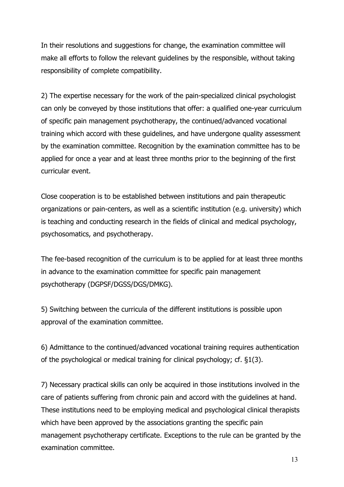In their resolutions and suggestions for change, the examination committee will make all efforts to follow the relevant guidelines by the responsible, without taking responsibility of complete compatibility.

2) The expertise necessary for the work of the pain-specialized clinical psychologist can only be conveyed by those institutions that offer: a qualified one-year curriculum of specific pain management psychotherapy, the continued/advanced vocational training which accord with these guidelines, and have undergone quality assessment by the examination committee. Recognition by the examination committee has to be applied for once a year and at least three months prior to the beginning of the first curricular event.

Close cooperation is to be established between institutions and pain therapeutic organizations or pain-centers, as well as a scientific institution (e.g. university) which is teaching and conducting research in the fields of clinical and medical psychology, psychosomatics, and psychotherapy.

The fee-based recognition of the curriculum is to be applied for at least three months in advance to the examination committee for specific pain management psychotherapy (DGPSF/DGSS/DGS/DMKG).

5) Switching between the curricula of the different institutions is possible upon approval of the examination committee.

6) Admittance to the continued/advanced vocational training requires authentication of the psychological or medical training for clinical psychology; cf. §1(3).

7) Necessary practical skills can only be acquired in those institutions involved in the care of patients suffering from chronic pain and accord with the guidelines at hand. These institutions need to be employing medical and psychological clinical therapists which have been approved by the associations granting the specific pain management psychotherapy certificate. Exceptions to the rule can be granted by the examination committee.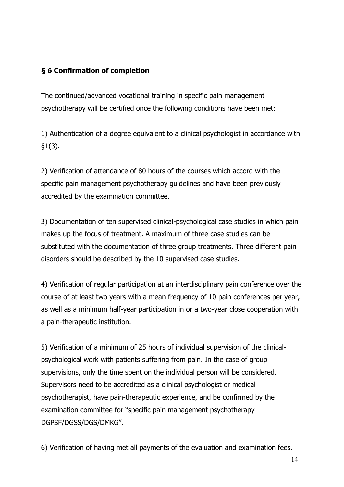### **§ 6 Confirmation of completion**

The continued/advanced vocational training in specific pain management psychotherapy will be certified once the following conditions have been met:

1) Authentication of a degree equivalent to a clinical psychologist in accordance with §1(3).

2) Verification of attendance of 80 hours of the courses which accord with the specific pain management psychotherapy guidelines and have been previously accredited by the examination committee.

3) Documentation of ten supervised clinical-psychological case studies in which pain makes up the focus of treatment. A maximum of three case studies can be substituted with the documentation of three group treatments. Three different pain disorders should be described by the 10 supervised case studies.

4) Verification of regular participation at an interdisciplinary pain conference over the course of at least two years with a mean frequency of 10 pain conferences per year, as well as a minimum half-year participation in or a two-year close cooperation with a pain-therapeutic institution.

5) Verification of a minimum of 25 hours of individual supervision of the clinicalpsychological work with patients suffering from pain. In the case of group supervisions, only the time spent on the individual person will be considered. Supervisors need to be accredited as a clinical psychologist or medical psychotherapist, have pain-therapeutic experience, and be confirmed by the examination committee for "specific pain management psychotherapy DGPSF/DGSS/DGS/DMKG".

6) Verification of having met all payments of the evaluation and examination fees.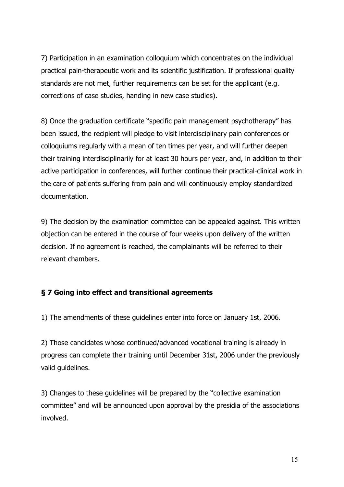7) Participation in an examination colloquium which concentrates on the individual practical pain-therapeutic work and its scientific justification. If professional quality standards are not met, further requirements can be set for the applicant (e.g. corrections of case studies, handing in new case studies).

8) Once the graduation certificate "specific pain management psychotherapy" has been issued, the recipient will pledge to visit interdisciplinary pain conferences or colloquiums regularly with a mean of ten times per year, and will further deepen their training interdisciplinarily for at least 30 hours per year, and, in addition to their active participation in conferences, will further continue their practical-clinical work in the care of patients suffering from pain and will continuously employ standardized documentation.

9) The decision by the examination committee can be appealed against. This written objection can be entered in the course of four weeks upon delivery of the written decision. If no agreement is reached, the complainants will be referred to their relevant chambers.

### **§ 7 Going into effect and transitional agreements**

1) The amendments of these guidelines enter into force on January 1st, 2006.

2) Those candidates whose continued/advanced vocational training is already in progress can complete their training until December 31st, 2006 under the previously valid guidelines.

3) Changes to these guidelines will be prepared by the "collective examination committee" and will be announced upon approval by the presidia of the associations involved.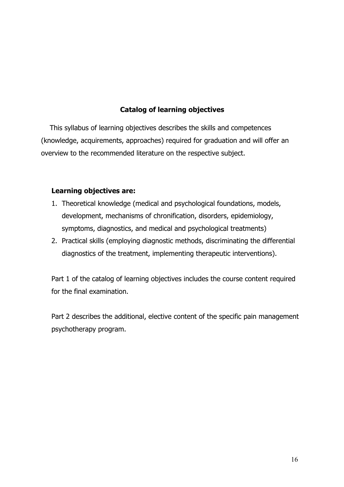#### **Catalog of learning objectives**

 This syllabus of learning objectives describes the skills and competences (knowledge, acquirements, approaches) required for graduation and will offer an overview to the recommended literature on the respective subject.

#### **Learning objectives are:**

- 1. Theoretical knowledge (medical and psychological foundations, models, development, mechanisms of chronification, disorders, epidemiology, symptoms, diagnostics, and medical and psychological treatments)
- 2. Practical skills (employing diagnostic methods, discriminating the differential diagnostics of the treatment, implementing therapeutic interventions).

Part 1 of the catalog of learning objectives includes the course content required for the final examination.

Part 2 describes the additional, elective content of the specific pain management psychotherapy program.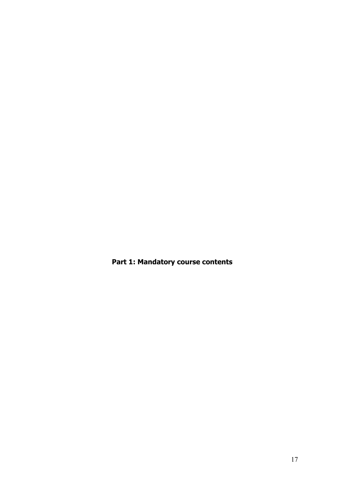**Part 1: Mandatory course contents**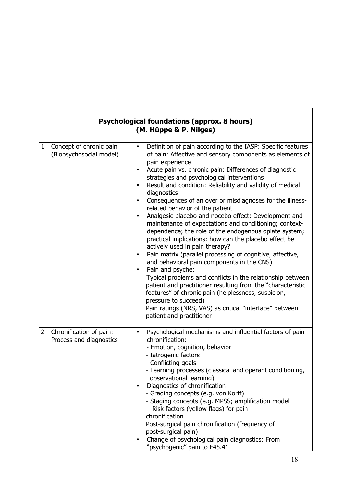|                |                                                    | <b>Psychological foundations (approx. 8 hours)</b><br>(M. Hüppe & P. Nilges)                                                                                                                                                                                                                                                                                                                                                                                                                                                                                                                                                                                                                                                                                                                                                                                                                                                                                                                                                                                                                                                                                                                           |
|----------------|----------------------------------------------------|--------------------------------------------------------------------------------------------------------------------------------------------------------------------------------------------------------------------------------------------------------------------------------------------------------------------------------------------------------------------------------------------------------------------------------------------------------------------------------------------------------------------------------------------------------------------------------------------------------------------------------------------------------------------------------------------------------------------------------------------------------------------------------------------------------------------------------------------------------------------------------------------------------------------------------------------------------------------------------------------------------------------------------------------------------------------------------------------------------------------------------------------------------------------------------------------------------|
| $\mathbf{1}$   | Concept of chronic pain<br>(Biopsychosocial model) | Definition of pain according to the IASP: Specific features<br>$\bullet$<br>of pain: Affective and sensory components as elements of<br>pain experience<br>Acute pain vs. chronic pain: Differences of diagnostic<br>strategies and psychological interventions<br>Result and condition: Reliability and validity of medical<br>$\bullet$<br>diagnostics<br>Consequences of an over or misdiagnoses for the illness-<br>related behavior of the patient<br>Analgesic placebo and nocebo effect: Development and<br>$\bullet$<br>maintenance of expectations and conditioning; context-<br>dependence; the role of the endogenous opiate system;<br>practical implications: how can the placebo effect be<br>actively used in pain therapy?<br>Pain matrix (parallel processing of cognitive, affective,<br>$\bullet$<br>and behavioral pain components in the CNS)<br>Pain and psyche:<br>$\bullet$<br>Typical problems and conflicts in the relationship between<br>patient and practitioner resulting from the "characteristic<br>features" of chronic pain (helplessness, suspicion,<br>pressure to succeed)<br>Pain ratings (NRS, VAS) as critical "interface" between<br>patient and practitioner |
| $\overline{2}$ | Chronification of pain:<br>Process and diagnostics | Psychological mechanisms and influential factors of pain<br>$\bullet$<br>chronification:<br>- Emotion, cognition, behavior<br>- Iatrogenic factors<br>- Conflicting goals<br>- Learning processes (classical and operant conditioning,<br>observational learning)<br>Diagnostics of chronification<br>- Grading concepts (e.g. von Korff)<br>- Staging concepts (e.g. MPSS; amplification model<br>- Risk factors (yellow flags) for pain<br>chronification<br>Post-surgical pain chronification (frequency of<br>post-surgical pain)<br>Change of psychological pain diagnostics: From<br>"psychogenic" pain to F45.41                                                                                                                                                                                                                                                                                                                                                                                                                                                                                                                                                                                |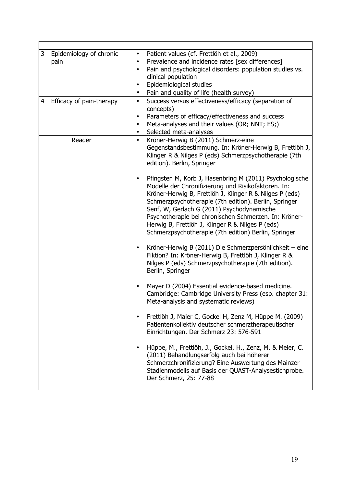| 3<br>4 | Epidemiology of chronic<br>pain<br>Efficacy of pain-therapy | Patient values (cf. Frettlöh et al., 2009)<br>$\bullet$<br>Prevalence and incidence rates [sex differences]<br>٠<br>Pain and psychological disorders: population studies vs.<br>$\bullet$<br>clinical population<br>Epidemiological studies<br>$\bullet$<br>Pain and quality of life (health survey)<br>$\bullet$<br>Success versus effectiveness/efficacy (separation of<br>$\bullet$                                                                |
|--------|-------------------------------------------------------------|-------------------------------------------------------------------------------------------------------------------------------------------------------------------------------------------------------------------------------------------------------------------------------------------------------------------------------------------------------------------------------------------------------------------------------------------------------|
|        |                                                             | concepts)<br>Parameters of efficacy/effectiveness and success<br>$\bullet$<br>Meta-analyses and their values (OR; NNT; ES;)<br>$\bullet$<br>Selected meta-analyses<br>$\bullet$                                                                                                                                                                                                                                                                       |
|        | Reader                                                      | Kröner-Herwig B (2011) Schmerz-eine<br>$\bullet$<br>Gegenstandsbestimmung. In: Kröner-Herwig B, Frettlöh J,<br>Klinger R & Nilges P (eds) Schmerzpsychotherapie (7th<br>edition). Berlin, Springer                                                                                                                                                                                                                                                    |
|        |                                                             | Pfingsten M, Korb J, Hasenbring M (2011) Psychologische<br>Modelle der Chronifizierung und Risikofaktoren. In:<br>Kröner-Herwig B, Frettlöh J, Klinger R & Nilges P (eds)<br>Schmerzpsychotherapie (7th edition). Berlin, Springer<br>Senf, W, Gerlach G (2011) Psychodynamische<br>Psychotherapie bei chronischen Schmerzen. In: Kröner-<br>Herwig B, Frettlöh J, Klinger R & Nilges P (eds)<br>Schmerzpsychotherapie (7th edition) Berlin, Springer |
|        |                                                             | Kröner-Herwig B (2011) Die Schmerzpersönlichkeit – eine<br>Fiktion? In: Kröner-Herwig B, Frettlöh J, Klinger R &<br>Nilges P (eds) Schmerzpsychotherapie (7th edition).<br>Berlin, Springer                                                                                                                                                                                                                                                           |
|        |                                                             | Mayer D (2004) Essential evidence-based medicine.<br>Cambridge: Cambridge University Press (esp. chapter 31:<br>Meta-analysis and systematic reviews)                                                                                                                                                                                                                                                                                                 |
|        |                                                             | Frettlöh J, Maier C, Gockel H, Zenz M, Hüppe M. (2009)<br>Patientenkollektiv deutscher schmerztherapeutischer<br>Einrichtungen. Der Schmerz 23: 576-591                                                                                                                                                                                                                                                                                               |
|        |                                                             | Hüppe, M., Frettlöh, J., Gockel, H., Zenz, M. & Meier, C.<br>$\bullet$<br>(2011) Behandlungserfolg auch bei höherer<br>Schmerzchronifizierung? Eine Auswertung des Mainzer<br>Stadienmodells auf Basis der QUAST-Analysestichprobe.<br>Der Schmerz, 25: 77-88                                                                                                                                                                                         |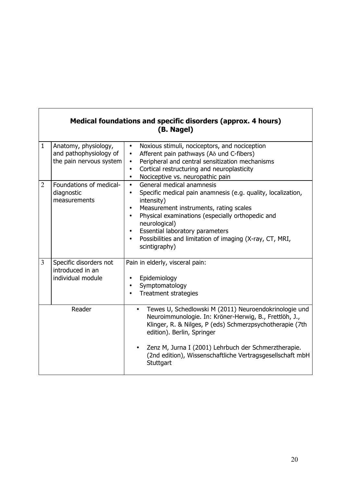|                | Medical foundations and specific disorders (approx. 4 hours)<br>(B. Nagel) |                                                                                                                                                                                                                                                                                                                                                                                                                      |  |  |
|----------------|----------------------------------------------------------------------------|----------------------------------------------------------------------------------------------------------------------------------------------------------------------------------------------------------------------------------------------------------------------------------------------------------------------------------------------------------------------------------------------------------------------|--|--|
| $\mathbf{1}$   | Anatomy, physiology,<br>and pathophysiology of<br>the pain nervous system  | Noxious stimuli, nociceptors, and nociception<br>$\bullet$<br>Afferent pain pathways (A <sub>δ</sub> und C-fibers)<br>$\bullet$<br>Peripheral and central sensitization mechanisms<br>$\bullet$<br>Cortical restructuring and neuroplasticity<br>$\bullet$<br>Nociceptive vs. neuropathic pain<br>$\bullet$                                                                                                          |  |  |
| $\overline{2}$ | Foundations of medical-<br>diagnostic<br>measurements                      | General medical anamnesis<br>$\bullet$<br>Specific medical pain anamnesis (e.g. quality, localization,<br>$\bullet$<br>intensity)<br>Measurement instruments, rating scales<br>$\bullet$<br>Physical examinations (especially orthopedic and<br>$\bullet$<br>neurological)<br>Essential laboratory parameters<br>$\bullet$<br>Possibilities and limitation of imaging (X-ray, CT, MRI,<br>$\bullet$<br>scintigraphy) |  |  |
| $\overline{3}$ | Specific disorders not<br>introduced in an<br>individual module            | Pain in elderly, visceral pain:<br>Epidemiology<br>Symptomatology<br><b>Treatment strategies</b>                                                                                                                                                                                                                                                                                                                     |  |  |
|                | Reader                                                                     | Tewes U, Schedlowski M (2011) Neuroendokrinologie und<br>$\bullet$<br>Neuroimmunologie. In: Kröner-Herwig, B., Frettlöh, J.,<br>Klinger, R. & Nilges, P (eds) Schmerzpsychotherapie (7th<br>edition). Berlin, Springer<br>Zenz M, Jurna I (2001) Lehrbuch der Schmerztherapie.<br>(2nd edition), Wissenschaftliche Vertragsgesellschaft mbH<br>Stuttgart                                                             |  |  |

**r**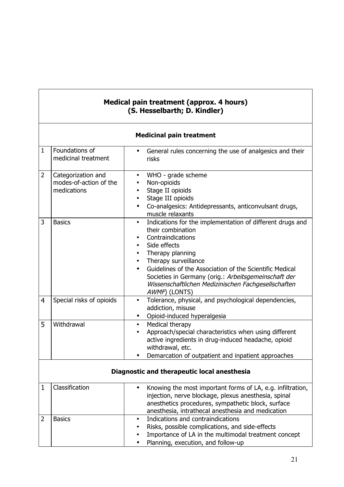#### **Medical pain treatment (approx. 4 hours) (S. Hesselbarth; D. Kindler)**

|                | <b>Medicinal pain treatment</b>                             |                                                                                                                                                                                                                                                                                                                                                                                             |  |  |
|----------------|-------------------------------------------------------------|---------------------------------------------------------------------------------------------------------------------------------------------------------------------------------------------------------------------------------------------------------------------------------------------------------------------------------------------------------------------------------------------|--|--|
| $\mathbf{1}$   | Foundations of<br>medicinal treatment                       | General rules concerning the use of analgesics and their<br>٠<br>risks                                                                                                                                                                                                                                                                                                                      |  |  |
| $\overline{2}$ | Categorization and<br>modes-of-action of the<br>medications | WHO - grade scheme<br>٠<br>Non-opioids<br>٠<br>Stage II opioids<br>٠<br>Stage III opioids<br>٠<br>Co-analgesics: Antidepressants, anticonvulsant drugs,<br>$\bullet$<br>muscle relaxants                                                                                                                                                                                                    |  |  |
| 3              | <b>Basics</b>                                               | Indications for the implementation of different drugs and<br>٠<br>their combination<br>Contraindications<br>٠<br>Side effects<br>$\bullet$<br>Therapy planning<br>٠<br>Therapy surveillance<br>٠<br>Guidelines of the Association of the Scientific Medical<br>Societies in Germany (orig.: Arbeitsgemeinschaft der<br>Wissenschaftlichen Medizinischen Fachgesellschaften<br>AWMF) (LONTS) |  |  |
| $\overline{4}$ | Special risks of opioids                                    | Tolerance, physical, and psychological dependencies,<br>$\bullet$<br>addiction, misuse<br>Opioid-induced hyperalgesia                                                                                                                                                                                                                                                                       |  |  |
| 5              | Withdrawal                                                  | Medical therapy<br>$\bullet$<br>Approach/special characteristics when using different<br>active ingredients in drug-induced headache, opioid<br>withdrawal, etc.<br>Demarcation of outpatient and inpatient approaches                                                                                                                                                                      |  |  |
|                | Diagnostic and therapeutic local anesthesia                 |                                                                                                                                                                                                                                                                                                                                                                                             |  |  |
| 1              | Classification                                              | Knowing the most important forms of LA, e.g. infiltration,<br>injection, nerve blockage, plexus anesthesia, spinal<br>anesthetics procedures, sympathetic block, surface<br>anesthesia, intrathecal anesthesia and medication                                                                                                                                                               |  |  |
| 2              | <b>Basics</b>                                               | Indications and contraindications<br>٠<br>Risks, possible complications, and side-effects<br>Importance of LA in the multimodal treatment concept<br>Planning, execution, and follow-up                                                                                                                                                                                                     |  |  |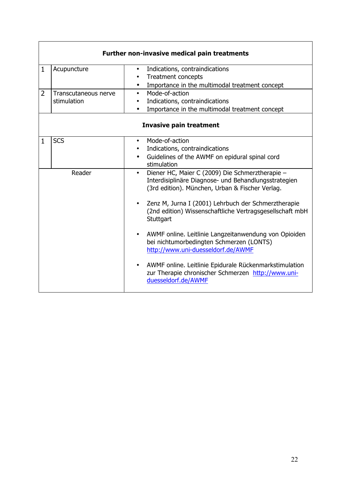|                | <b>Further non-invasive medical pain treatments</b> |                                                                                                                                                                         |  |  |
|----------------|-----------------------------------------------------|-------------------------------------------------------------------------------------------------------------------------------------------------------------------------|--|--|
| $\mathbf{1}$   | Acupuncture                                         | Indications, contraindications<br>$\bullet$                                                                                                                             |  |  |
|                |                                                     | <b>Treatment concepts</b><br>٠                                                                                                                                          |  |  |
|                |                                                     | Importance in the multimodal treatment concept<br>$\bullet$                                                                                                             |  |  |
| $\overline{2}$ | Transcutaneous nerve                                | Mode-of-action<br>$\bullet$                                                                                                                                             |  |  |
|                | stimulation                                         | Indications, contraindications<br>$\bullet$                                                                                                                             |  |  |
|                |                                                     | Importance in the multimodal treatment concept                                                                                                                          |  |  |
|                |                                                     | <b>Invasive pain treatment</b>                                                                                                                                          |  |  |
| $\mathbf{1}$   | <b>SCS</b>                                          | Mode-of-action<br>$\bullet$                                                                                                                                             |  |  |
|                |                                                     | Indications, contraindications<br>$\bullet$                                                                                                                             |  |  |
|                |                                                     | Guidelines of the AWMF on epidural spinal cord<br>$\bullet$<br>stimulation                                                                                              |  |  |
|                | Reader                                              | Diener HC, Maier C (2009) Die Schmerztherapie -<br>$\bullet$<br>Interdisiplinäre Diagnose- und Behandlungsstrategien<br>(3rd edition). München, Urban & Fischer Verlag. |  |  |
|                |                                                     | Zenz M, Jurna I (2001) Lehrbuch der Schmerztherapie<br>(2nd edition) Wissenschaftliche Vertragsgesellschaft mbH<br>Stuttgart                                            |  |  |
|                |                                                     | AWMF online. Leitlinie Langzeitanwendung von Opioiden<br>$\bullet$<br>bei nichtumorbedingten Schmerzen (LONTS)<br>http://www.uni-duesseldorf.de/AWMF                    |  |  |
|                |                                                     | AWMF online. Leitlinie Epidurale Rückenmarkstimulation<br>zur Therapie chronischer Schmerzen http://www.uni-<br>duesseldorf.de/AWMF                                     |  |  |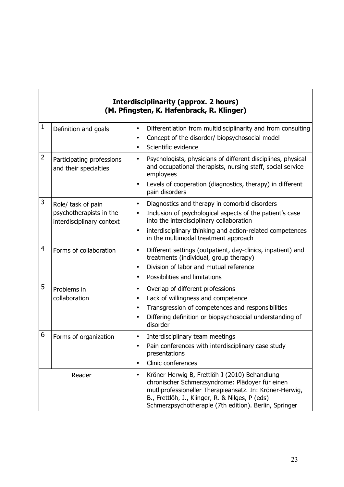### **Interdisciplinarity (approx. 2 hours) (M. Pfingsten, K. Hafenbrack, R. Klinger)**

| $\mathbf{1}$   | Definition and goals                                 | Differentiation from multidisciplinarity and from consulting<br>$\bullet$<br>Concept of the disorder/ biopsychosocial model<br>$\bullet$<br>Scientific evidence<br>$\bullet$                                                                                                         |
|----------------|------------------------------------------------------|--------------------------------------------------------------------------------------------------------------------------------------------------------------------------------------------------------------------------------------------------------------------------------------|
| 2              | Participating professions<br>and their specialties   | Psychologists, physicians of different disciplines, physical<br>$\bullet$<br>and occupational therapists, nursing staff, social service<br>employees                                                                                                                                 |
|                |                                                      | Levels of cooperation (diagnostics, therapy) in different<br>pain disorders                                                                                                                                                                                                          |
| 3              | Role/ task of pain                                   | Diagnostics and therapy in comorbid disorders<br>$\bullet$                                                                                                                                                                                                                           |
|                | psychotherapists in the<br>interdisciplinary context | Inclusion of psychological aspects of the patient's case<br>$\bullet$<br>into the interdisciplinary collaboration                                                                                                                                                                    |
|                |                                                      | interdisciplinary thinking and action-related competences<br>$\bullet$<br>in the multimodal treatment approach                                                                                                                                                                       |
| $\overline{4}$ | Forms of collaboration                               | Different settings (outpatient, day-clinics, inpatient) and<br>$\bullet$<br>treatments (individual, group therapy)                                                                                                                                                                   |
|                |                                                      | Division of labor and mutual reference<br>$\bullet$                                                                                                                                                                                                                                  |
|                |                                                      | Possibilities and limitations<br>$\bullet$                                                                                                                                                                                                                                           |
| 5              | Problems in                                          | Overlap of different professions<br>$\bullet$                                                                                                                                                                                                                                        |
|                | collaboration                                        | Lack of willingness and competence<br>$\bullet$                                                                                                                                                                                                                                      |
|                |                                                      | Transgression of competences and responsibilities<br>$\bullet$                                                                                                                                                                                                                       |
|                |                                                      | Differing definition or biopsychosocial understanding of<br>$\bullet$<br>disorder                                                                                                                                                                                                    |
| 6              | Forms of organization                                | Interdisciplinary team meetings<br>$\bullet$                                                                                                                                                                                                                                         |
|                |                                                      | Pain conferences with interdisciplinary case study<br>$\bullet$<br>presentations                                                                                                                                                                                                     |
|                |                                                      | Clinic conferences<br>$\bullet$                                                                                                                                                                                                                                                      |
|                | Reader                                               | Kröner-Herwig B, Frettlöh J (2010) Behandlung<br>$\bullet$<br>chronischer Schmerzsyndrome: Plädoyer für einen<br>mutliprofessioneller Therapieansatz. In: Kröner-Herwig,<br>B., Frettlöh, J., Klinger, R. & Nilges, P (eds)<br>Schmerzpsychotherapie (7th edition). Berlin, Springer |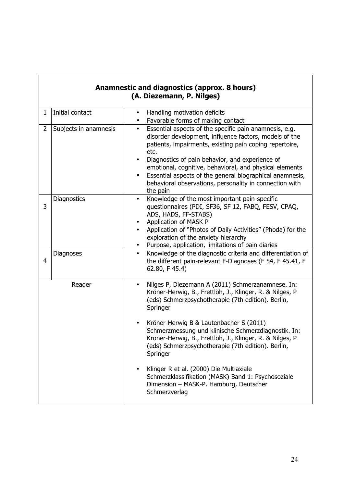|                | Anamnestic and diagnostics (approx. 8 hours)<br>(A. Diezemann, P. Nilges) |                                                                                                                                                                                                                                                                                                                                                                                                                                                                |  |  |
|----------------|---------------------------------------------------------------------------|----------------------------------------------------------------------------------------------------------------------------------------------------------------------------------------------------------------------------------------------------------------------------------------------------------------------------------------------------------------------------------------------------------------------------------------------------------------|--|--|
| $\mathbf 1$    | Initial contact                                                           | Handling motivation deficits<br>$\bullet$<br>Favorable forms of making contact                                                                                                                                                                                                                                                                                                                                                                                 |  |  |
| $\overline{2}$ | Subjects in anamnesis                                                     | Essential aspects of the specific pain anamnesis, e.g.<br>$\bullet$<br>disorder development, influence factors, models of the<br>patients, impairments, existing pain coping repertoire,<br>etc.<br>Diagnostics of pain behavior, and experience of<br>emotional, cognitive, behavioral, and physical elements<br>Essential aspects of the general biographical anamnesis,<br>$\bullet$<br>behavioral observations, personality in connection with<br>the pain |  |  |
| 3              | Diagnostics                                                               | Knowledge of the most important pain-specific<br>$\bullet$<br>questionnaires (PDI, SF36, SF 12, FABQ, FESV, CPAQ,<br>ADS, HADS, FF-STABS)<br>Application of MASK P<br>$\bullet$<br>Application of "Photos of Daily Activities" (Phoda) for the<br>exploration of the anxiety hierarchy<br>Purpose, application, limitations of pain diaries                                                                                                                    |  |  |
| 4              | <b>Diagnoses</b>                                                          | Knowledge of the diagnostic criteria and differentiation of<br>$\bullet$<br>the different pain-relevant F-Diagnoses (F 54, F 45.41, F<br>62.80, F 45.4)                                                                                                                                                                                                                                                                                                        |  |  |
|                | Reader                                                                    | Nilges P, Diezemann A (2011) Schmerzanamnese. In:<br>$\bullet$<br>Kröner-Herwig, B., Frettlöh, J., Klinger, R. & Nilges, P<br>(eds) Schmerzpsychotherapie (7th edition). Berlin,<br>Springer<br>Kröner-Herwig B & Lautenbacher S (2011)                                                                                                                                                                                                                        |  |  |
|                |                                                                           | Schmerzmessung und klinische Schmerzdiagnostik. In:<br>Kröner-Herwig, B., Frettlöh, J., Klinger, R. & Nilges, P<br>(eds) Schmerzpsychotherapie (7th edition). Berlin,<br>Springer<br>$\bullet$                                                                                                                                                                                                                                                                 |  |  |
|                |                                                                           | Klinger R et al. (2000) Die Multiaxiale<br>Schmerzklassifikation (MASK) Band 1: Psychosoziale<br>Dimension - MASK-P. Hamburg, Deutscher<br>Schmerzverlag                                                                                                                                                                                                                                                                                                       |  |  |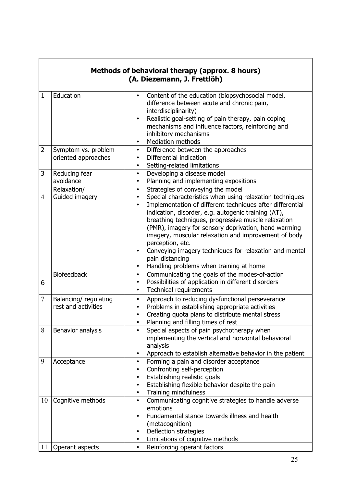|                | Methods of behavioral therapy (approx. 8 hours)<br>(A. Diezemann, J. Frettlöh) |                                                                                                                                                                                                                                                                                                                                                                                                                                                                                                                                |  |  |
|----------------|--------------------------------------------------------------------------------|--------------------------------------------------------------------------------------------------------------------------------------------------------------------------------------------------------------------------------------------------------------------------------------------------------------------------------------------------------------------------------------------------------------------------------------------------------------------------------------------------------------------------------|--|--|
| $\mathbf{1}$   | Education                                                                      | Content of the education (biopsychosocial model,<br>difference between acute and chronic pain,<br>interdisciplinarity)<br>Realistic goal-setting of pain therapy, pain coping<br>mechanisms and influence factors, reinforcing and<br>inhibitory mechanisms<br><b>Mediation methods</b><br>$\bullet$                                                                                                                                                                                                                           |  |  |
| 2              | Symptom vs. problem-<br>oriented approaches                                    | Difference between the approaches<br>$\bullet$<br>Differential indication<br>$\bullet$<br>Setting-related limitations<br>$\bullet$                                                                                                                                                                                                                                                                                                                                                                                             |  |  |
| 3              | Reducing fear<br>avoidance<br>Relaxation/                                      | Developing a disease model<br>$\bullet$<br>Planning and implementing expositions<br>$\bullet$<br>Strategies of conveying the model<br>$\bullet$                                                                                                                                                                                                                                                                                                                                                                                |  |  |
| $\overline{4}$ | Guided imagery                                                                 | Special characteristics when using relaxation techniques<br>$\bullet$<br>Implementation of different techniques after differential<br>$\bullet$<br>indication, disorder, e.g. autogenic training (AT),<br>breathing techniques, progressive muscle relaxation<br>(PMR), imagery for sensory deprivation, hand warming<br>imagery, muscular relaxation and improvement of body<br>perception, etc.<br>Conveying imagery techniques for relaxation and mental<br>pain distancing<br>Handling problems when training at home<br>٠ |  |  |
| 6              | <b>Biofeedback</b>                                                             | Communicating the goals of the modes-of-action<br>$\bullet$<br>Possibilities of application in different disorders<br>$\bullet$<br><b>Technical requirements</b><br>$\bullet$                                                                                                                                                                                                                                                                                                                                                  |  |  |
| $\overline{7}$ | Balancing/regulating<br>rest and activities                                    | Approach to reducing dysfunctional perseverance<br>$\bullet$<br>Problems in establishing appropriate activities<br>Creating quota plans to distribute mental stress<br>Planning and filling times of rest<br>$\bullet$                                                                                                                                                                                                                                                                                                         |  |  |
| 8              | Behavior analysis                                                              | Special aspects of pain psychotherapy when<br>$\bullet$<br>implementing the vertical and horizontal behavioral<br>analysis<br>Approach to establish alternative behavior in the patient<br>$\bullet$                                                                                                                                                                                                                                                                                                                           |  |  |
| 9              | Acceptance                                                                     | Forming a pain and disorder acceptance<br>$\bullet$<br>Confronting self-perception<br>Establishing realistic goals<br>٠<br>Establishing flexible behavior despite the pain<br>$\bullet$<br>Training mindfulness<br>$\bullet$                                                                                                                                                                                                                                                                                                   |  |  |
| 10<br>11       | Cognitive methods<br>Operant aspects                                           | Communicating cognitive strategies to handle adverse<br>$\bullet$<br>emotions<br>Fundamental stance towards illness and health<br>٠<br>(metacognition)<br>Deflection strategies<br>Limitations of cognitive methods<br>Reinforcing operant factors<br>$\bullet$                                                                                                                                                                                                                                                                |  |  |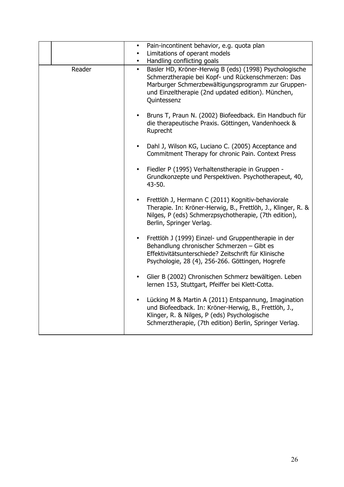| Pain-incontinent behavior, e.g. quota plan<br>$\bullet$<br>Limitations of operant models<br>$\bullet$<br>Handling conflicting goals<br>$\bullet$<br>Basler HD, Kröner-Herwig B (eds) (1998) Psychologische<br>Reader<br>$\bullet$<br>Schmerztherapie bei Kopf- und Rückenschmerzen: Das<br>Marburger Schmerzbewältigungsprogramm zur Gruppen-<br>und Einzeltherapie (2nd updated edition). München,<br>Quintessenz<br>Bruns T, Praun N. (2002) Biofeedback. Ein Handbuch für<br>die therapeutische Praxis. Göttingen, Vandenhoeck &<br>Ruprecht<br>Dahl J, Wilson KG, Luciano C. (2005) Acceptance and<br>$\bullet$<br>Commitment Therapy for chronic Pain. Context Press<br>Fiedler P (1995) Verhaltenstherapie in Gruppen -<br>Grundkonzepte und Perspektiven. Psychotherapeut, 40,<br>43-50.<br>Frettlöh J, Hermann C (2011) Kognitiv-behaviorale<br>$\bullet$<br>Therapie. In: Kröner-Herwig, B., Frettlöh, J., Klinger, R. &<br>Nilges, P (eds) Schmerzpsychotherapie, (7th edition),<br>Berlin, Springer Verlag.<br>Frettlöh J (1999) Einzel- und Gruppentherapie in der<br>$\bullet$<br>Behandlung chronischer Schmerzen - Gibt es<br>Effektivitätsunterschiede? Zeitschrift für Klinische<br>Psychologie, 28 (4), 256-266. Göttingen, Hogrefe<br>Glier B (2002) Chronischen Schmerz bewältigen. Leben<br>$\bullet$<br>lernen 153, Stuttgart, Pfeiffer bei Klett-Cotta.<br>Lücking M & Martin A (2011) Entspannung, Imagination<br>$\bullet$<br>und Biofeedback. In: Kröner-Herwig, B., Frettlöh, J.,<br>Klinger, R. & Nilges, P (eds) Psychologische<br>Schmerztherapie, (7th edition) Berlin, Springer Verlag. |  |  |
|-------------------------------------------------------------------------------------------------------------------------------------------------------------------------------------------------------------------------------------------------------------------------------------------------------------------------------------------------------------------------------------------------------------------------------------------------------------------------------------------------------------------------------------------------------------------------------------------------------------------------------------------------------------------------------------------------------------------------------------------------------------------------------------------------------------------------------------------------------------------------------------------------------------------------------------------------------------------------------------------------------------------------------------------------------------------------------------------------------------------------------------------------------------------------------------------------------------------------------------------------------------------------------------------------------------------------------------------------------------------------------------------------------------------------------------------------------------------------------------------------------------------------------------------------------------------------------------------------------------------------|--|--|
|                                                                                                                                                                                                                                                                                                                                                                                                                                                                                                                                                                                                                                                                                                                                                                                                                                                                                                                                                                                                                                                                                                                                                                                                                                                                                                                                                                                                                                                                                                                                                                                                                         |  |  |
|                                                                                                                                                                                                                                                                                                                                                                                                                                                                                                                                                                                                                                                                                                                                                                                                                                                                                                                                                                                                                                                                                                                                                                                                                                                                                                                                                                                                                                                                                                                                                                                                                         |  |  |
|                                                                                                                                                                                                                                                                                                                                                                                                                                                                                                                                                                                                                                                                                                                                                                                                                                                                                                                                                                                                                                                                                                                                                                                                                                                                                                                                                                                                                                                                                                                                                                                                                         |  |  |
|                                                                                                                                                                                                                                                                                                                                                                                                                                                                                                                                                                                                                                                                                                                                                                                                                                                                                                                                                                                                                                                                                                                                                                                                                                                                                                                                                                                                                                                                                                                                                                                                                         |  |  |
|                                                                                                                                                                                                                                                                                                                                                                                                                                                                                                                                                                                                                                                                                                                                                                                                                                                                                                                                                                                                                                                                                                                                                                                                                                                                                                                                                                                                                                                                                                                                                                                                                         |  |  |
|                                                                                                                                                                                                                                                                                                                                                                                                                                                                                                                                                                                                                                                                                                                                                                                                                                                                                                                                                                                                                                                                                                                                                                                                                                                                                                                                                                                                                                                                                                                                                                                                                         |  |  |
|                                                                                                                                                                                                                                                                                                                                                                                                                                                                                                                                                                                                                                                                                                                                                                                                                                                                                                                                                                                                                                                                                                                                                                                                                                                                                                                                                                                                                                                                                                                                                                                                                         |  |  |
|                                                                                                                                                                                                                                                                                                                                                                                                                                                                                                                                                                                                                                                                                                                                                                                                                                                                                                                                                                                                                                                                                                                                                                                                                                                                                                                                                                                                                                                                                                                                                                                                                         |  |  |
|                                                                                                                                                                                                                                                                                                                                                                                                                                                                                                                                                                                                                                                                                                                                                                                                                                                                                                                                                                                                                                                                                                                                                                                                                                                                                                                                                                                                                                                                                                                                                                                                                         |  |  |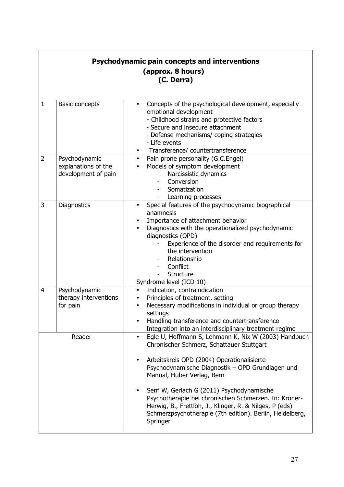|                | Psychodynamic pain concepts and interventions<br>(approx. 8 hours)<br>(C. Derra) |                                                                                                                                                                                                                                                                                                                                                                                                                                                                                         |  |
|----------------|----------------------------------------------------------------------------------|-----------------------------------------------------------------------------------------------------------------------------------------------------------------------------------------------------------------------------------------------------------------------------------------------------------------------------------------------------------------------------------------------------------------------------------------------------------------------------------------|--|
| $\mathbf{1}$   | <b>Basic concepts</b>                                                            | Concepts of the psychological development, especially<br>emotional development<br>- Childhood strains and protective factors<br>- Secure and insecure attachment<br>- Defense mechanisms/ coping strategies<br>- Life events<br>Transference/ countertransference                                                                                                                                                                                                                       |  |
| $\overline{2}$ | Psychodynamic<br>explanations of the<br>development of pain                      | Pain prone personality (G.C.Engel)<br>$\bullet$<br>Models of symptom development<br>Narcissistic dynamics<br>Conversion<br>Somatization<br>Learning processes                                                                                                                                                                                                                                                                                                                           |  |
| 3              | <b>Diagnostics</b>                                                               | Special features of the psychodynamic biographical<br>anamnesis<br>Importance of attachment behavior<br>Diagnostics with the operationalized psychodynamic<br>diagnostics (OPD)<br>Experience of the disorder and requirements for<br>the intervention<br>Relationship<br>Conflict<br>Structure<br>Syndrome level (ICD 10)                                                                                                                                                              |  |
| 4              | Psychodynamic<br>therapy interventions<br>for pain                               | Indication, contraindication<br>$\bullet$<br>Principles of treatment, setting<br>Necessary modifications in individual or group therapy<br>settings<br>Handling transference and countertransference<br>Integration into an interdisciplinary treatment regime                                                                                                                                                                                                                          |  |
|                | Reader                                                                           | Egle U, Hoffmann S, Lehmann K, Nix W (2003) Handbuch<br>Chronischer Schmerz, Schattauer Stuttgart<br>Arbeitskreis OPD (2004) Operationalisierte<br>$\bullet$<br>Psychodynamische Diagnostik - OPD Grundlagen und<br>Manual, Huber Verlag, Bern<br>Senf W, Gerlach G (2011) Psychodynamische<br>Psychotherapie bei chronischen Schmerzen. In: Kröner-<br>Herwig, B., Frettlöh, J., Klinger, R. & Nilges, P (eds)<br>Schmerzpsychotherapie (7th edition). Berlin, Heidelberg,<br>Springer |  |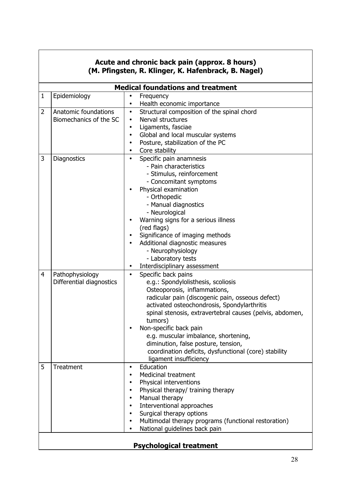|              | Acute and chronic back pain (approx. 8 hours)<br>(M. Pfingsten, R. Klinger, K. Hafenbrack, B. Nagel) |                                                                             |  |  |
|--------------|------------------------------------------------------------------------------------------------------|-----------------------------------------------------------------------------|--|--|
|              |                                                                                                      |                                                                             |  |  |
| $\mathbf{1}$ | Epidemiology                                                                                         | <b>Medical foundations and treatment</b>                                    |  |  |
|              |                                                                                                      | Frequency<br>Health economic importance<br>٠                                |  |  |
| 2            | Anatomic foundations                                                                                 | Structural composition of the spinal chord<br>$\bullet$                     |  |  |
|              | Biomechanics of the SC                                                                               | Nerval structures<br>$\bullet$                                              |  |  |
|              |                                                                                                      | Ligaments, fasciae<br>$\bullet$                                             |  |  |
|              |                                                                                                      | Global and local muscular systems<br>$\bullet$                              |  |  |
|              |                                                                                                      | Posture, stabilization of the PC<br>$\bullet$                               |  |  |
|              |                                                                                                      | Core stability<br>$\bullet$                                                 |  |  |
| 3            | <b>Diagnostics</b>                                                                                   | Specific pain anamnesis<br>$\bullet$                                        |  |  |
|              |                                                                                                      | - Pain characteristics                                                      |  |  |
|              |                                                                                                      | - Stimulus, reinforcement                                                   |  |  |
|              |                                                                                                      | - Concomitant symptoms                                                      |  |  |
|              |                                                                                                      | Physical examination                                                        |  |  |
|              |                                                                                                      | - Orthopedic                                                                |  |  |
|              |                                                                                                      | - Manual diagnostics                                                        |  |  |
|              |                                                                                                      | - Neurological                                                              |  |  |
|              |                                                                                                      | Warning signs for a serious illness<br>(red flags)                          |  |  |
|              |                                                                                                      | Significance of imaging methods                                             |  |  |
|              |                                                                                                      | Additional diagnostic measures<br>$\bullet$                                 |  |  |
|              |                                                                                                      | - Neurophysiology                                                           |  |  |
|              |                                                                                                      | - Laboratory tests                                                          |  |  |
|              |                                                                                                      | Interdisciplinary assessment<br>$\bullet$                                   |  |  |
| 4            | Pathophysiology                                                                                      | Specific back pains<br>$\bullet$                                            |  |  |
|              | Differential diagnostics                                                                             | e.g.: Spondylolisthesis, scoliosis                                          |  |  |
|              |                                                                                                      | Osteoporosis, inflammations,                                                |  |  |
|              |                                                                                                      | radicular pain (discogenic pain, osseous defect)                            |  |  |
|              |                                                                                                      | activated osteochondrosis, Spondylarthritis                                 |  |  |
|              |                                                                                                      | spinal stenosis, extravertebral causes (pelvis, abdomen,                    |  |  |
|              |                                                                                                      | tumors)                                                                     |  |  |
|              |                                                                                                      | Non-specific back pain<br>$\bullet$                                         |  |  |
|              |                                                                                                      | e.g. muscular imbalance, shortening,<br>diminution, false posture, tension, |  |  |
|              |                                                                                                      | coordination deficits, dysfunctional (core) stability                       |  |  |
|              |                                                                                                      | ligament insufficiency                                                      |  |  |
| 5            | Treatment                                                                                            | Education<br>$\bullet$                                                      |  |  |
|              |                                                                                                      | <b>Medicinal treatment</b><br>$\bullet$                                     |  |  |
|              |                                                                                                      | Physical interventions<br>٠                                                 |  |  |
|              |                                                                                                      | Physical therapy/ training therapy<br>٠                                     |  |  |
|              |                                                                                                      | Manual therapy<br>$\bullet$                                                 |  |  |
|              |                                                                                                      | Interventional approaches<br>$\bullet$                                      |  |  |
|              |                                                                                                      | Surgical therapy options<br>$\bullet$                                       |  |  |
|              |                                                                                                      | Multimodal therapy programs (functional restoration)<br>$\bullet$           |  |  |
|              |                                                                                                      | National guidelines back pain<br>$\bullet$                                  |  |  |
|              |                                                                                                      | <b>Psychological treatment</b>                                              |  |  |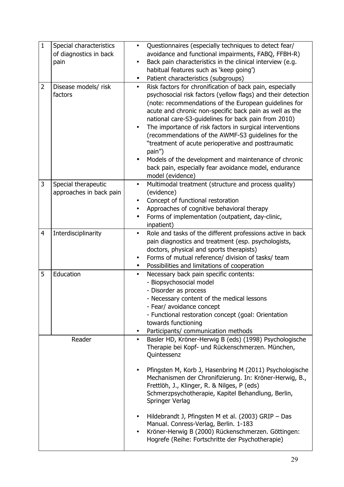| $\mathbf{1}$ | Special characteristics<br>of diagnostics in back<br>pain | Questionnaires (especially techniques to detect fear/<br>$\bullet$<br>avoidance and functional impairments, FABQ, FFBH-R)<br>Back pain characteristics in the clinical interview (e.g.<br>habitual features such as 'keep going')<br>Patient characteristics (subgroups)<br>$\bullet$                                                                                                                                                                                                                                                                                                                                                     |
|--------------|-----------------------------------------------------------|-------------------------------------------------------------------------------------------------------------------------------------------------------------------------------------------------------------------------------------------------------------------------------------------------------------------------------------------------------------------------------------------------------------------------------------------------------------------------------------------------------------------------------------------------------------------------------------------------------------------------------------------|
| 2            | Disease models/ risk<br>factors                           | Risk factors for chronification of back pain, especially<br>$\bullet$<br>psychosocial risk factors (yellow flags) and their detection<br>(note: recommendations of the European guidelines for<br>acute and chronic non-specific back pain as well as the<br>national care-S3-guidelines for back pain from 2010)<br>The importance of risk factors in surgical interventions<br>(recommendations of the AWMF-S3 guidelines for the<br>"treatment of acute perioperative and posttraumatic<br>pain")<br>Models of the development and maintenance of chronic<br>back pain, especially fear avoidance model, endurance<br>model (evidence) |
| 3            | Special therapeutic                                       | Multimodal treatment (structure and process quality)<br>$\bullet$                                                                                                                                                                                                                                                                                                                                                                                                                                                                                                                                                                         |
|              | approaches in back pain                                   | (evidence)                                                                                                                                                                                                                                                                                                                                                                                                                                                                                                                                                                                                                                |
|              |                                                           | Concept of functional restoration<br>٠                                                                                                                                                                                                                                                                                                                                                                                                                                                                                                                                                                                                    |
|              |                                                           | Approaches of cognitive behavioral therapy<br>$\bullet$                                                                                                                                                                                                                                                                                                                                                                                                                                                                                                                                                                                   |
|              |                                                           | Forms of implementation (outpatient, day-clinic,<br>$\bullet$<br>inpatient)                                                                                                                                                                                                                                                                                                                                                                                                                                                                                                                                                               |
| 4            | Interdisciplinarity                                       | Role and tasks of the different professions active in back<br>$\bullet$                                                                                                                                                                                                                                                                                                                                                                                                                                                                                                                                                                   |
|              |                                                           | pain diagnostics and treatment (esp. psychologists,                                                                                                                                                                                                                                                                                                                                                                                                                                                                                                                                                                                       |
|              |                                                           | doctors, physical and sports therapists)                                                                                                                                                                                                                                                                                                                                                                                                                                                                                                                                                                                                  |
|              |                                                           | Forms of mutual reference/ division of tasks/ team<br>$\bullet$                                                                                                                                                                                                                                                                                                                                                                                                                                                                                                                                                                           |
|              |                                                           | Possibilities and limitations of cooperation                                                                                                                                                                                                                                                                                                                                                                                                                                                                                                                                                                                              |
| 5            | Education                                                 | Necessary back pain specific contents:<br>$\bullet$                                                                                                                                                                                                                                                                                                                                                                                                                                                                                                                                                                                       |
|              |                                                           | - Biopsychosocial model                                                                                                                                                                                                                                                                                                                                                                                                                                                                                                                                                                                                                   |
|              |                                                           | - Disorder as process                                                                                                                                                                                                                                                                                                                                                                                                                                                                                                                                                                                                                     |
|              |                                                           | - Necessary content of the medical lessons                                                                                                                                                                                                                                                                                                                                                                                                                                                                                                                                                                                                |
|              |                                                           | - Fear/ avoidance concept<br>- Functional restoration concept (goal: Orientation                                                                                                                                                                                                                                                                                                                                                                                                                                                                                                                                                          |
|              |                                                           | towards functioning                                                                                                                                                                                                                                                                                                                                                                                                                                                                                                                                                                                                                       |
|              |                                                           | Participants/ communication methods<br>$\bullet$                                                                                                                                                                                                                                                                                                                                                                                                                                                                                                                                                                                          |
|              | Reader                                                    | Basler HD, Kröner-Herwig B (eds) (1998) Psychologische                                                                                                                                                                                                                                                                                                                                                                                                                                                                                                                                                                                    |
|              |                                                           | Therapie bei Kopf- und Rückenschmerzen. München,<br>Quintessenz                                                                                                                                                                                                                                                                                                                                                                                                                                                                                                                                                                           |
|              |                                                           |                                                                                                                                                                                                                                                                                                                                                                                                                                                                                                                                                                                                                                           |
|              |                                                           | Pfingsten M, Korb J, Hasenbring M (2011) Psychologische<br>$\bullet$<br>Mechanismen der Chronifizierung. In: Kröner-Herwig, B.,<br>Frettlöh, J., Klinger, R. & Nilges, P (eds)<br>Schmerzpsychotherapie, Kapitel Behandlung, Berlin,<br>Springer Verlag                                                                                                                                                                                                                                                                                                                                                                                   |
|              |                                                           | Hildebrandt J, Pfingsten M et al. (2003) GRIP - Das<br>$\bullet$<br>Manual. Conress-Verlag, Berlin. 1-183<br>Kröner-Herwig B (2000) Rückenschmerzen. Göttingen:<br>$\bullet$<br>Hogrefe (Reihe: Fortschritte der Psychotherapie)                                                                                                                                                                                                                                                                                                                                                                                                          |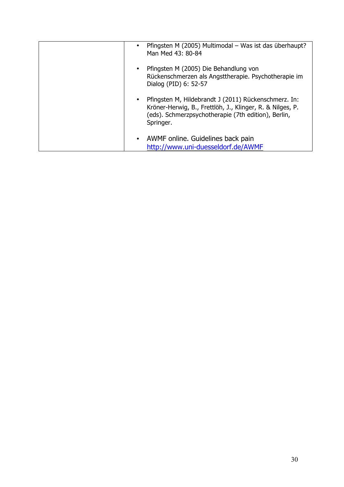| Pfingsten M (2005) Multimodal - Was ist das überhaupt?<br>Man Med 43: 80-84                                                                                                           |
|---------------------------------------------------------------------------------------------------------------------------------------------------------------------------------------|
| Pfingsten M (2005) Die Behandlung von<br>Rückenschmerzen als Angsttherapie. Psychotherapie im<br>Dialog (PID) 6: 52-57                                                                |
| Pfingsten M, Hildebrandt J (2011) Rückenschmerz. In:<br>Kröner-Herwig, B., Frettlöh, J., Klinger, R. & Nilges, P.<br>(eds). Schmerzpsychotherapie (7th edition), Berlin,<br>Springer. |
| • AWMF online. Guidelines back pain<br>http://www.uni-duesseldorf.de/AWMF                                                                                                             |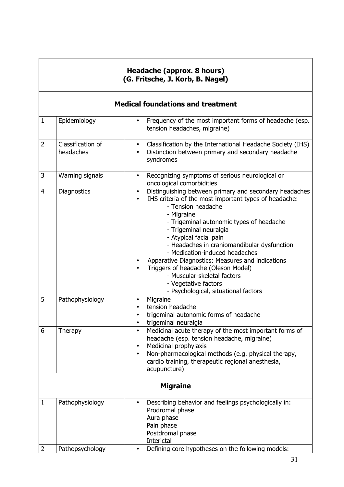|                | Headache (approx. 8 hours)<br>(G. Fritsche, J. Korb, B. Nagel) |                                                                                                                                                                                                                                                                                                                                                                                                                                                                                                                                             |  |
|----------------|----------------------------------------------------------------|---------------------------------------------------------------------------------------------------------------------------------------------------------------------------------------------------------------------------------------------------------------------------------------------------------------------------------------------------------------------------------------------------------------------------------------------------------------------------------------------------------------------------------------------|--|
|                |                                                                | <b>Medical foundations and treatment</b>                                                                                                                                                                                                                                                                                                                                                                                                                                                                                                    |  |
| $\mathbf{1}$   | Epidemiology                                                   | Frequency of the most important forms of headache (esp.<br>$\bullet$<br>tension headaches, migraine)                                                                                                                                                                                                                                                                                                                                                                                                                                        |  |
| $\overline{2}$ | Classification of<br>headaches                                 | Classification by the International Headache Society (IHS)<br>$\bullet$<br>Distinction between primary and secondary headache<br>$\bullet$<br>syndromes                                                                                                                                                                                                                                                                                                                                                                                     |  |
| 3              | Warning signals                                                | Recognizing symptoms of serious neurological or<br>$\bullet$<br>oncological comorbidities                                                                                                                                                                                                                                                                                                                                                                                                                                                   |  |
| $\overline{4}$ | Diagnostics                                                    | Distinguishing between primary and secondary headaches<br>$\bullet$<br>IHS criteria of the most important types of headache:<br>- Tension headache<br>- Migraine<br>- Trigeminal autonomic types of headache<br>- Trigeminal neuralgia<br>- Atypical facial pain<br>- Headaches in craniomandibular dysfunction<br>- Medication-induced headaches<br>Apparative Diagnostics: Measures and indications<br>Triggers of headache (Oleson Model)<br>- Muscular-skeletal factors<br>- Vegetative factors<br>- Psychological, situational factors |  |
| 5              | Pathophysiology                                                | Migraine<br>tension headache<br>trigeminal autonomic forms of headache<br>trigeminal neuralgia<br>$\bullet$                                                                                                                                                                                                                                                                                                                                                                                                                                 |  |
| 6              | Therapy                                                        | Medicinal acute therapy of the most important forms of<br>headache (esp. tension headache, migraine)<br>Medicinal prophylaxis<br>٠<br>Non-pharmacological methods (e.g. physical therapy,<br>$\bullet$<br>cardio training, therapeutic regional anesthesia,<br>acupuncture)                                                                                                                                                                                                                                                                 |  |
|                |                                                                | <b>Migraine</b>                                                                                                                                                                                                                                                                                                                                                                                                                                                                                                                             |  |
| 1              | Pathophysiology                                                | Describing behavior and feelings psychologically in:<br>$\bullet$<br>Prodromal phase<br>Aura phase<br>Pain phase<br>Postdromal phase<br>Interictal                                                                                                                                                                                                                                                                                                                                                                                          |  |
| $\overline{2}$ | Pathopsychology                                                | Defining core hypotheses on the following models:<br>$\bullet$                                                                                                                                                                                                                                                                                                                                                                                                                                                                              |  |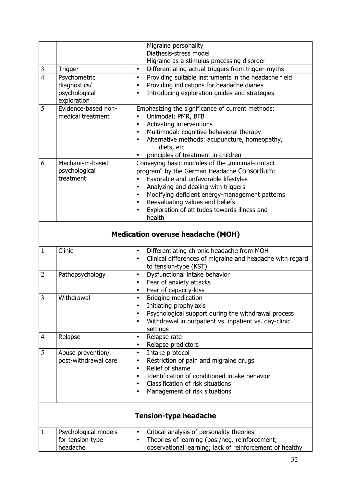|                |                                          | Migraine personality                                                                                                             |
|----------------|------------------------------------------|----------------------------------------------------------------------------------------------------------------------------------|
|                |                                          | Diathesis-stress model                                                                                                           |
|                |                                          | Migraine as a stimulus processing disorder                                                                                       |
| $\mathfrak{Z}$ | <b>Trigger</b>                           | Differentiating actual triggers from trigger-myths<br>$\bullet$                                                                  |
| $\overline{4}$ | Psychometric                             | Providing suitable instruments in the headache field<br>$\bullet$                                                                |
|                | diagnostics/                             | Providing indications for headache diaries<br>$\bullet$                                                                          |
|                | psychological                            | Introducing exploration guides and strategies<br>٠                                                                               |
|                | exploration                              |                                                                                                                                  |
| 5              | Evidence-based non-                      | Emphasizing the significance of current methods:                                                                                 |
|                | medical treatment                        | Unimodal: PMR, BFB                                                                                                               |
|                |                                          | Activating interventions<br>$\bullet$                                                                                            |
|                |                                          | Multimodal: cognitive behavioral therapy<br>$\bullet$                                                                            |
|                |                                          | Alternative methods: acupuncture, homeopathy,<br>$\bullet$                                                                       |
|                |                                          | diets, etc                                                                                                                       |
|                |                                          | principles of treatment in children                                                                                              |
| 6              | Mechanism-based                          | Conveying basic modules of the "minimal-contact                                                                                  |
|                | psychological                            | program" by the German Headache Consortium:                                                                                      |
|                | treatment                                | Favorable and unfavorable lifestyles                                                                                             |
|                |                                          | Analyzing and dealing with triggers<br>$\bullet$                                                                                 |
|                |                                          | Modifying deficient energy-management patterns<br>$\bullet$                                                                      |
|                |                                          | Reevaluating values and beliefs<br>$\bullet$                                                                                     |
|                |                                          | Exploration of attitudes towards illness and<br>health                                                                           |
|                |                                          |                                                                                                                                  |
|                |                                          |                                                                                                                                  |
|                |                                          | <b>Medication overuse headache (MOH)</b>                                                                                         |
| $\mathbf{1}$   | Clinic                                   |                                                                                                                                  |
|                |                                          | Differentiating chronic headache from MOH<br>$\bullet$<br>Clinical differences of migraine and headache with regard<br>$\bullet$ |
|                |                                          | to tension-type (KST)                                                                                                            |
| $\overline{2}$ | Pathopsychology                          | Dysfunctional intake behavior<br>$\bullet$                                                                                       |
|                |                                          | Fear of anxiety attacks<br>$\bullet$                                                                                             |
|                |                                          | Fear of capacity-loss<br>$\bullet$                                                                                               |
| 3              | Withdrawal                               | <b>Bridging medication</b><br>$\bullet$                                                                                          |
|                |                                          | Initiating prophylaxis                                                                                                           |
|                |                                          | Psychological support during the withdrawal process<br>$\bullet$                                                                 |
|                |                                          | Withdrawal in outpatient vs. inpatient vs. day-clinic                                                                            |
|                |                                          | settings                                                                                                                         |
| $\overline{4}$ | Relapse                                  | Relapse rate<br>$\bullet$                                                                                                        |
|                |                                          | Relapse predictors<br>$\bullet$                                                                                                  |
| 5              | Abuse prevention/                        | Intake protocol<br>$\bullet$                                                                                                     |
|                | post-withdrawal care                     | Restriction of pain and migraine drugs<br>٠                                                                                      |
|                |                                          | Relief of shame<br>$\bullet$                                                                                                     |
|                |                                          | Identification of conditioned intake behavior<br>$\bullet$                                                                       |
|                |                                          | Classification of risk situations<br>$\bullet$                                                                                   |
|                |                                          | Management of risk situations                                                                                                    |
|                |                                          |                                                                                                                                  |
|                |                                          | <b>Tension-type headache</b>                                                                                                     |
| $\mathbf{1}$   |                                          | $\bullet$                                                                                                                        |
|                | Psychological models<br>for tension-type | Critical analysis of personality theories<br>Theories of learning (pos./neg. reinforcement;<br>$\bullet$                         |
|                | headache                                 | observational learning; lack of reinforcement of healthy                                                                         |
|                |                                          |                                                                                                                                  |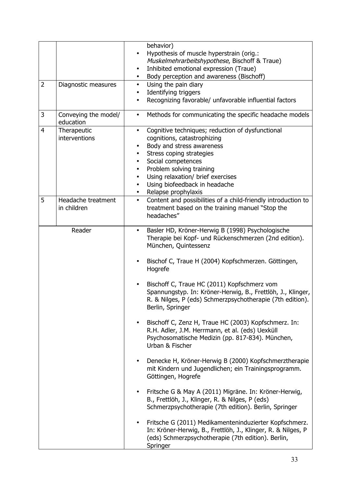|                |                                   | behavior)<br>Hypothesis of muscle hyperstrain (orig.:<br>$\bullet$<br>Muskelmehrarbeitshypothese, Bischoff & Traue)<br>Inhibited emotional expression (Traue)<br>$\bullet$<br>Body perception and awareness (Bischoff)<br>$\bullet$                                                                                                                                                |
|----------------|-----------------------------------|------------------------------------------------------------------------------------------------------------------------------------------------------------------------------------------------------------------------------------------------------------------------------------------------------------------------------------------------------------------------------------|
| $\overline{2}$ | Diagnostic measures               | Using the pain diary<br>$\bullet$<br>Identifying triggers<br>$\bullet$<br>Recognizing favorable/ unfavorable influential factors                                                                                                                                                                                                                                                   |
| 3              | Conveying the model/<br>education | Methods for communicating the specific headache models<br>$\bullet$                                                                                                                                                                                                                                                                                                                |
| 4              | Therapeutic<br>interventions      | Cognitive techniques; reduction of dysfunctional<br>$\bullet$<br>cognitions, catastrophizing<br>Body and stress awareness<br>Stress coping strategies<br>$\bullet$<br>Social competences<br>$\bullet$<br>Problem solving training<br>$\bullet$<br>Using relaxation/ brief exercises<br>$\bullet$<br>Using biofeedback in headache<br>$\bullet$<br>Relapse prophylaxis<br>$\bullet$ |
| 5              | Headache treatment<br>in children | Content and possibilities of a child-friendly introduction to<br>$\bullet$<br>treatment based on the training manuel "Stop the<br>headaches"                                                                                                                                                                                                                                       |
|                | Reader                            | Basler HD, Kröner-Herwig B (1998) Psychologische<br>$\bullet$<br>Therapie bei Kopf- und Rückenschmerzen (2nd edition).<br>München, Quintessenz<br>Bischof C, Traue H (2004) Kopfschmerzen. Göttingen,<br>Hogrefe                                                                                                                                                                   |
|                |                                   | Bischoff C, Traue HC (2011) Kopfschmerz vom<br>$\bullet$<br>Spannungstyp. In: Kröner-Herwig, B., Frettlöh, J., Klinger,<br>R. & Nilges, P (eds) Schmerzpsychotherapie (7th edition).<br>Berlin, Springer                                                                                                                                                                           |
|                |                                   | Bischoff C, Zenz H, Traue HC (2003) Kopfschmerz. In:<br>R.H. Adler, J.M. Herrmann, et al. (eds) Uexküll<br>Psychosomatische Medizin (pp. 817-834). München,<br>Urban & Fischer                                                                                                                                                                                                     |
|                |                                   | Denecke H, Kröner-Herwig B (2000) Kopfschmerztherapie<br>mit Kindern und Jugendlichen; ein Trainingsprogramm.<br>Göttingen, Hogrefe                                                                                                                                                                                                                                                |
|                |                                   | Fritsche G & May A (2011) Migräne. In: Kröner-Herwig,<br>$\bullet$<br>B., Frettlöh, J., Klinger, R. & Nilges, P (eds)<br>Schmerzpsychotherapie (7th edition). Berlin, Springer                                                                                                                                                                                                     |
|                |                                   | Fritsche G (2011) Medikamenteninduzierter Kopfschmerz.<br>In: Kröner-Herwig, B., Frettlöh, J., Klinger, R. & Nilges, P<br>(eds) Schmerzpsychotherapie (7th edition). Berlin,<br>Springer                                                                                                                                                                                           |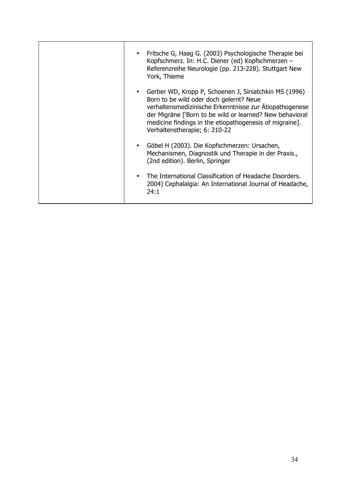| Fritsche G, Haag G. (2003) Psychologische Therapie bei<br>Kopfschmerz. In: H.C. Diener (ed) Kopfschmerzen -<br>Referenzreihe Neurologie (pp. 213-228). Stuttgart New<br>York, Thieme                                                                                                                                |
|---------------------------------------------------------------------------------------------------------------------------------------------------------------------------------------------------------------------------------------------------------------------------------------------------------------------|
| Gerber WD, Kropp P, Schoenen J, Siniatchkin MS (1996)<br>Born to be wild oder doch gelernt? Neue<br>verhaltensmedizinische Erkenntnisse zur Ätiopathogenese<br>der Migräne ['Born to be wild or learned? New behavioral<br>medicine findings in the etiopathogenesis of migraine].<br>Verhaltenstherapie; 6: 210-22 |
| Göbel H (2003). Die Kopfschmerzen: Ursachen,<br>Mechanismen, Diagnostik und Therapie in der Praxis.,<br>(2nd edition). Berlin, Springer                                                                                                                                                                             |
| The International Classification of Headache Disorders.<br>2004) Cephalalgia: An International Journal of Headache,<br>24:1                                                                                                                                                                                         |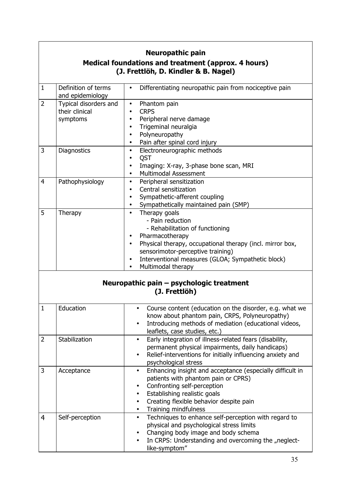| <b>Neuropathic pain</b><br>Medical foundations and treatment (approx. 4 hours) |                                                     |                                                                                                                                                                                                                                                                                                             |  |  |
|--------------------------------------------------------------------------------|-----------------------------------------------------|-------------------------------------------------------------------------------------------------------------------------------------------------------------------------------------------------------------------------------------------------------------------------------------------------------------|--|--|
|                                                                                | (J. Frettlöh, D. Kindler & B. Nagel)                |                                                                                                                                                                                                                                                                                                             |  |  |
| $\mathbf{1}$                                                                   | Definition of terms<br>and epidemiology             | Differentiating neuropathic pain from nociceptive pain<br>$\bullet$                                                                                                                                                                                                                                         |  |  |
| $\overline{2}$                                                                 | Typical disorders and<br>their clinical<br>symptoms | Phantom pain<br>$\bullet$<br><b>CRPS</b><br>$\bullet$<br>Peripheral nerve damage<br>$\bullet$<br>Trigeminal neuralgia<br>$\bullet$<br>Polyneuropathy<br>$\bullet$<br>Pain after spinal cord injury<br>$\bullet$                                                                                             |  |  |
| 3                                                                              | Diagnostics                                         | Electroneurographic methods<br>$\bullet$<br>QST<br>$\bullet$<br>Imaging: X-ray, 3-phase bone scan, MRI<br>$\bullet$<br>Multimodal Assessment<br>$\bullet$                                                                                                                                                   |  |  |
| 4                                                                              | Pathophysiology                                     | Peripheral sensitization<br>$\bullet$<br>Central sensitization<br>$\bullet$<br>Sympathetic-afferent coupling<br>Sympathetically maintained pain (SMP)<br>$\bullet$                                                                                                                                          |  |  |
| 5                                                                              | Therapy                                             | Therapy goals<br>$\bullet$<br>- Pain reduction<br>- Rehabilitation of functioning<br>Pharmacotherapy<br>$\bullet$<br>Physical therapy, occupational therapy (incl. mirror box,<br>$\bullet$<br>sensorimotor-perceptive training)<br>Interventional measures (GLOA; Sympathetic block)<br>Multimodal therapy |  |  |
|                                                                                |                                                     | Neuropathic pain - psychologic treatment<br>(J. Frettlöh)                                                                                                                                                                                                                                                   |  |  |
| $\mathbf{1}$                                                                   | Education                                           | Course content (education on the disorder, e.g. what we<br>know about phantom pain, CRPS, Polyneuropathy)<br>Introducing methods of mediation (educational videos,<br>$\bullet$<br>leaflets, case studies, etc.)                                                                                            |  |  |
| $\overline{2}$                                                                 | Stabilization                                       | Early integration of illness-related fears (disability,<br>$\bullet$<br>permanent physical impairments, daily handicaps)<br>Relief-interventions for initially influencing anxiety and<br>psychological stress                                                                                              |  |  |
| 3                                                                              | Acceptance                                          | Enhancing insight and acceptance (especially difficult in<br>$\bullet$<br>patients with phantom pain or CPRS)<br>Confronting self-perception<br>$\bullet$<br>Establishing realistic goals<br>$\bullet$<br>Creating flexible behavior despite pain<br>$\bullet$<br>Training mindfulness<br>$\bullet$         |  |  |
| 4                                                                              | Self-perception                                     | Techniques to enhance self-perception with regard to<br>$\bullet$<br>physical and psychological stress limits<br>Changing body image and body schema<br>In CRPS: Understanding and overcoming the "neglect-<br>like-symptom"                                                                                |  |  |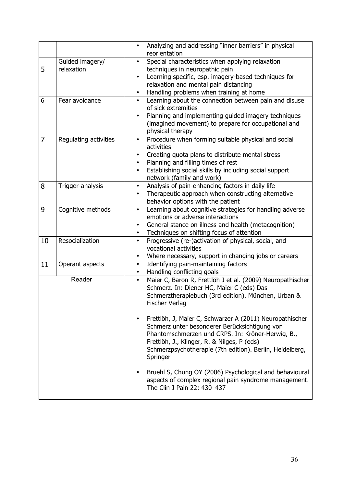|    |                               | Analyzing and addressing "inner barriers" in physical<br>$\bullet$<br>reorientation                                                                                                                                                                                                   |
|----|-------------------------------|---------------------------------------------------------------------------------------------------------------------------------------------------------------------------------------------------------------------------------------------------------------------------------------|
| 5  | Guided imagery/<br>relaxation | Special characteristics when applying relaxation<br>techniques in neuropathic pain<br>Learning specific, esp. imagery-based techniques for<br>$\bullet$<br>relaxation and mental pain distancing<br>Handling problems when training at home<br>$\bullet$                              |
| 6  | Fear avoidance                | Learning about the connection between pain and disuse<br>$\bullet$<br>of sick extremities<br>Planning and implementing guided imagery techniques<br>(imagined movement) to prepare for occupational and<br>physical therapy                                                           |
| 7  | Regulating activities         | Procedure when forming suitable physical and social<br>$\bullet$<br>activities<br>Creating quota plans to distribute mental stress<br>Planning and filling times of rest<br>Establishing social skills by including social support<br>$\bullet$<br>network (family and work)          |
| 8  | Trigger-analysis              | Analysis of pain-enhancing factors in daily life<br>$\bullet$<br>Therapeutic approach when constructing alternative<br>$\bullet$<br>behavior options with the patient                                                                                                                 |
| 9  | Cognitive methods             | Learning about cognitive strategies for handling adverse<br>$\bullet$<br>emotions or adverse interactions<br>General stance on illness and health (metacognition)<br>Techniques on shifting focus of attention<br>$\bullet$                                                           |
| 10 | Resocialization               | Progressive (re-)activation of physical, social, and<br>$\bullet$<br>vocational activities<br>Where necessary, support in changing jobs or careers<br>٠                                                                                                                               |
| 11 | Operant aspects               | Identifying pain-maintaining factors<br>$\bullet$<br>Handling conflicting goals<br>$\bullet$                                                                                                                                                                                          |
|    | Reader                        | Maier C, Baron R, Frettlöh J et al. (2009) Neuropathischer<br>$\bullet$<br>Schmerz. In: Diener HC, Maier C (eds) Das<br>Schmerztherapiebuch (3rd edition). München, Urban &<br><b>Fischer Verlag</b>                                                                                  |
|    |                               | Frettlöh, J, Maier C, Schwarzer A (2011) Neuropathischer<br>Schmerz unter besonderer Berücksichtigung von<br>Phantomschmerzen und CRPS. In: Kröner-Herwig, B.,<br>Frettlöh, J., Klinger, R. & Nilges, P (eds)<br>Schmerzpsychotherapie (7th edition). Berlin, Heidelberg,<br>Springer |
|    |                               | Bruehl S, Chung OY (2006) Psychological and behavioural<br>aspects of complex regional pain syndrome management.<br>The Clin J Pain 22: 430-437                                                                                                                                       |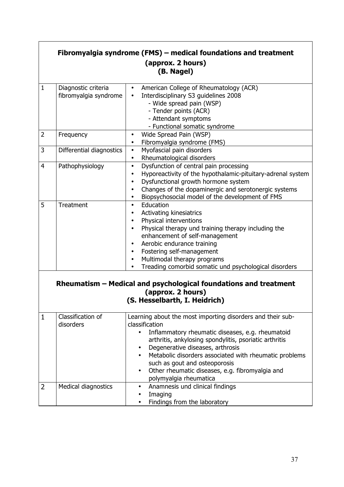|                |                                                                                                                        | Fibromyalgia syndrome (FMS) – medical foundations and treatment<br>(approx. 2 hours)<br>(B. Nagel)                                                                                                                                                                                                                                                                                                                                    |  |
|----------------|------------------------------------------------------------------------------------------------------------------------|---------------------------------------------------------------------------------------------------------------------------------------------------------------------------------------------------------------------------------------------------------------------------------------------------------------------------------------------------------------------------------------------------------------------------------------|--|
| $\mathbf{1}$   | Diagnostic criteria<br>fibromyalgia syndrome                                                                           | American College of Rheumatology (ACR)<br>$\bullet$<br>Interdisciplinary S3 guidelines 2008<br>- Wide spread pain (WSP)<br>- Tender points (ACR)<br>- Attendant symptoms<br>- Functional somatic syndrome                                                                                                                                                                                                                             |  |
| $\overline{2}$ | Frequency                                                                                                              | Wide Spread Pain (WSP)<br>$\bullet$<br>Fibromyalgia syndrome (FMS)<br>$\bullet$                                                                                                                                                                                                                                                                                                                                                       |  |
| 3              | Differential diagnostics                                                                                               | Myofascial pain disorders<br>$\bullet$<br>Rheumatological disorders<br>$\bullet$                                                                                                                                                                                                                                                                                                                                                      |  |
| 4              | Pathophysiology                                                                                                        | Dysfunction of central pain processing<br>$\bullet$<br>Hyporeactivity of the hypothalamic-pituitary-adrenal system<br>$\bullet$<br>Dysfunctional growth hormone system<br>$\bullet$<br>Changes of the dopaminergic and serotonergic systems<br>$\bullet$<br>Biopsychosocial model of the development of FMS<br>$\bullet$                                                                                                              |  |
| 5              | Treatment                                                                                                              | Education<br>$\bullet$<br>Activating kinesiatrics<br>Physical interventions<br>Physical therapy und training therapy including the<br>enhancement of self-management<br>Aerobic endurance training<br>$\bullet$<br>Fostering self-management<br>$\bullet$<br>Multimodal therapy programs<br>$\bullet$<br>Treading comorbid somatic und psychological disorders                                                                        |  |
|                | Rheumatism – Medical and psychological foundations and treatment<br>(approx. 2 hours)<br>(S. Hesselbarth, I. Heidrich) |                                                                                                                                                                                                                                                                                                                                                                                                                                       |  |
| 1              | Classification of<br>disorders                                                                                         | Learning about the most importing disorders and their sub-<br>classification<br>Inflammatory rheumatic diseases, e.g. rheumatoid<br>$\bullet$<br>arthritis, ankylosing spondylitis, psoriatic arthritis<br>Degenerative diseases, arthrosis<br>٠<br>Metabolic disorders associated with rheumatic problems<br>such as gout and osteoporosis<br>Other rheumatic diseases, e.g. fibromyalgia and<br>$\bullet$<br>polymyalgia rheumatica |  |
| $\overline{2}$ | Medical diagnostics                                                                                                    | Anamnesis und clinical findings<br>$\bullet$<br>Imaging<br>Findings from the laboratory                                                                                                                                                                                                                                                                                                                                               |  |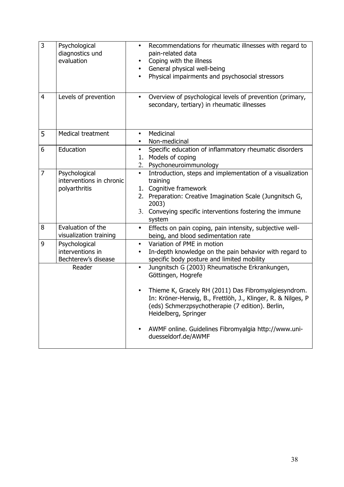| 3              | Psychological<br>diagnostics und<br>evaluation             | Recommendations for rheumatic illnesses with regard to<br>$\bullet$<br>pain-related data<br>Coping with the illness<br>General physical well-being<br>$\bullet$<br>Physical impairments and psychosocial stressors                                                                                                                                                   |
|----------------|------------------------------------------------------------|----------------------------------------------------------------------------------------------------------------------------------------------------------------------------------------------------------------------------------------------------------------------------------------------------------------------------------------------------------------------|
| $\overline{4}$ | Levels of prevention                                       | Overview of psychological levels of prevention (primary,<br>$\bullet$<br>secondary, tertiary) in rheumatic illnesses                                                                                                                                                                                                                                                 |
| 5              | Medical treatment                                          | Medicinal<br>$\bullet$<br>Non-medicinal                                                                                                                                                                                                                                                                                                                              |
| 6              | Education                                                  | Specific education of inflammatory rheumatic disorders<br>$\bullet$<br>Models of coping<br>1.<br>Psychoneuroimmunology<br>2.                                                                                                                                                                                                                                         |
| $\overline{7}$ | Psychological<br>interventions in chronic<br>polyarthritis | Introduction, steps and implementation of a visualization<br>$\bullet$<br>training<br>1. Cognitive framework<br>2. Preparation: Creative Imagination Scale (Jungnitsch G,<br>2003)<br>3. Conveying specific interventions fostering the immune<br>system                                                                                                             |
| 8              | Evaluation of the<br>visualization training                | Effects on pain coping, pain intensity, subjective well-<br>$\bullet$<br>being, and blood sedimentation rate                                                                                                                                                                                                                                                         |
| 9              | Psychological<br>interventions in<br>Bechterew's disease   | Variation of PME in motion<br>$\bullet$<br>In-depth knowledge on the pain behavior with regard to<br>specific body posture and limited mobility                                                                                                                                                                                                                      |
|                | Reader                                                     | Jungnitsch G (2003) Rheumatische Erkrankungen,<br>$\bullet$<br>Göttingen, Hogrefe<br>Thieme K, Gracely RH (2011) Das Fibromyalgiesyndrom.<br>In: Kröner-Herwig, B., Frettlöh, J., Klinger, R. & Nilges, P<br>(eds) Schmerzpsychotherapie (7 edition). Berlin,<br>Heidelberg, Springer<br>AWMF online. Guidelines Fibromyalgia http://www.uni-<br>duesseldorf.de/AWMF |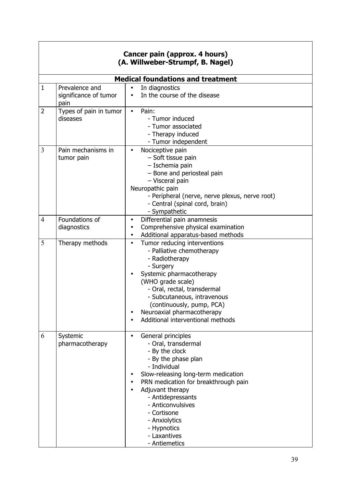|                | Cancer pain (approx. 4 hours)<br>(A. Willweber-Strumpf, B. Nagel) |                                                                                                                                                                                                                                                                                                                                 |  |
|----------------|-------------------------------------------------------------------|---------------------------------------------------------------------------------------------------------------------------------------------------------------------------------------------------------------------------------------------------------------------------------------------------------------------------------|--|
|                |                                                                   | <b>Medical foundations and treatment</b>                                                                                                                                                                                                                                                                                        |  |
| $\mathbf{1}$   | Prevalence and<br>significance of tumor<br>pain                   | In diagnostics<br>$\bullet$<br>In the course of the disease<br>$\bullet$                                                                                                                                                                                                                                                        |  |
| $\overline{2}$ | Types of pain in tumor<br>diseases                                | Pain:<br>$\bullet$<br>- Tumor induced<br>- Tumor associated<br>- Therapy induced<br>- Tumor independent                                                                                                                                                                                                                         |  |
| 3              | Pain mechanisms in<br>tumor pain                                  | Nociceptive pain<br>$\bullet$<br>- Soft tissue pain<br>- Ischemia pain<br>- Bone and periosteal pain<br>- Visceral pain<br>Neuropathic pain<br>- Peripheral (nerve, nerve plexus, nerve root)<br>- Central (spinal cord, brain)<br>- Sympathetic                                                                                |  |
| $\overline{4}$ | Foundations of<br>diagnostics                                     | Differential pain anamnesis<br>$\bullet$<br>Comprehensive physical examination<br>Additional apparatus-based methods<br>$\bullet$                                                                                                                                                                                               |  |
| 5              | Therapy methods                                                   | Tumor reducing interventions<br>$\bullet$<br>- Palliative chemotherapy<br>- Radiotherapy<br>- Surgery<br>Systemic pharmacotherapy<br>(WHO grade scale)<br>- Oral, rectal, transdermal<br>- Subcutaneous, intravenous<br>(continuously, pump, PCA)<br>Neuroaxial pharmacotherapy<br>Additional interventional methods            |  |
| 6              | Systemic<br>pharmacotherapy                                       | General principles<br>- Oral, transdermal<br>- By the clock<br>- By the phase plan<br>- Individual<br>Slow-releasing long-term medication<br>PRN medication for breakthrough pain<br>Adjuvant therapy<br>- Antidepressants<br>- Anticonvulsives<br>- Cortisone<br>- Anxiolytics<br>- Hypnotics<br>- Laxantives<br>- Antiemetics |  |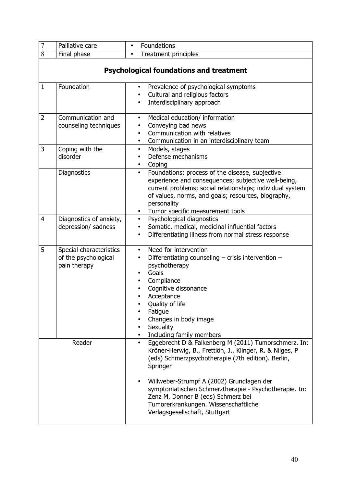| $\overline{7}$ | Palliative care                                                 | Foundations<br>$\bullet$                                                                                                                                                                                                                                                                                                                                                                                                           |  |
|----------------|-----------------------------------------------------------------|------------------------------------------------------------------------------------------------------------------------------------------------------------------------------------------------------------------------------------------------------------------------------------------------------------------------------------------------------------------------------------------------------------------------------------|--|
| 8              | Final phase                                                     | <b>Treatment principles</b><br>$\bullet$                                                                                                                                                                                                                                                                                                                                                                                           |  |
|                | <b>Psychological foundations and treatment</b>                  |                                                                                                                                                                                                                                                                                                                                                                                                                                    |  |
| $\mathbf{1}$   | Foundation                                                      | Prevalence of psychological symptoms<br>$\bullet$<br>Cultural and religious factors<br>$\bullet$<br>Interdisciplinary approach                                                                                                                                                                                                                                                                                                     |  |
| $\overline{2}$ | Communication and<br>counseling techniques                      | Medical education/ information<br>$\bullet$<br>Conveying bad news<br>Communication with relatives<br>$\bullet$<br>Communication in an interdisciplinary team<br>$\bullet$                                                                                                                                                                                                                                                          |  |
| 3              | Coping with the<br>disorder                                     | Models, stages<br>$\bullet$<br>Defense mechanisms<br>$\bullet$<br>Coping<br>$\bullet$                                                                                                                                                                                                                                                                                                                                              |  |
|                | Diagnostics                                                     | Foundations: process of the disease, subjective<br>$\bullet$<br>experience and consequences; subjective well-being,<br>current problems; social relationships; individual system<br>of values, norms, and goals; resources, biography,<br>personality<br>Tumor specific measurement tools<br>$\bullet$                                                                                                                             |  |
| $\overline{4}$ | Diagnostics of anxiety,<br>depression/ sadness                  | Psychological diagnostics<br>$\bullet$<br>Somatic, medical, medicinal influential factors<br>$\bullet$<br>Differentiating illness from normal stress response<br>$\bullet$                                                                                                                                                                                                                                                         |  |
| 5              | Special characteristics<br>of the psychological<br>pain therapy | Need for intervention<br>$\bullet$<br>Differentiating counseling - crisis intervention -<br>$\bullet$<br>psychotherapy<br>Goals<br>Compliance<br>Cognitive dissonance<br>Acceptance<br>Quality of life<br>Fatique<br>Changes in body image<br>Sexuality<br>Including family members                                                                                                                                                |  |
| Reader         |                                                                 | Eggebrecht D & Falkenberg M (2011) Tumorschmerz. In:<br>$\bullet$<br>Kröner-Herwig, B., Frettlöh, J., Klinger, R. & Nilges, P<br>(eds) Schmerzpsychotherapie (7th edition). Berlin,<br>Springer<br>Willweber-Strumpf A (2002) Grundlagen der<br>$\bullet$<br>symptomatischen Schmerztherapie - Psychotherapie. In:<br>Zenz M, Donner B (eds) Schmerz bei<br>Tumorerkrankungen. Wissenschaftliche<br>Verlagsgesellschaft, Stuttgart |  |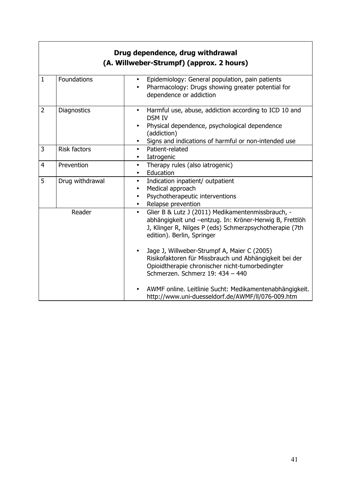|                | Drug dependence, drug withdrawal<br>(A. Willweber-Strumpf) (approx. 2 hours) |                                                                                                                                                                                                                    |  |
|----------------|------------------------------------------------------------------------------|--------------------------------------------------------------------------------------------------------------------------------------------------------------------------------------------------------------------|--|
| $\mathbf{1}$   | Foundations                                                                  | Epidemiology: General population, pain patients<br>Pharmacology: Drugs showing greater potential for<br>dependence or addiction                                                                                    |  |
| $\overline{2}$ | Diagnostics                                                                  | Harmful use, abuse, addiction according to ICD 10 and<br>$\bullet$<br><b>DSM IV</b><br>Physical dependence, psychological dependence<br>(addiction)<br>Signs and indications of harmful or non-intended use        |  |
| 3              | <b>Risk factors</b>                                                          | Patient-related<br>$\bullet$<br>Iatrogenic<br>$\bullet$                                                                                                                                                            |  |
| $\overline{4}$ | Prevention                                                                   | Therapy rules (also iatrogenic)<br>$\bullet$<br>Education<br>$\bullet$                                                                                                                                             |  |
| 5              | Drug withdrawal                                                              | Indication inpatient/ outpatient<br>$\bullet$<br>Medical approach<br>٠<br>Psychotherapeutic interventions<br>$\bullet$<br>Relapse prevention<br>$\bullet$                                                          |  |
| Reader         |                                                                              | Glier B & Lutz J (2011) Medikamentenmissbrauch, -<br>$\bullet$<br>abhängigkeit und -entzug. In: Kröner-Herwig B, Frettlöh<br>J, Klinger R, Nilges P (eds) Schmerzpsychotherapie (7th<br>edition). Berlin, Springer |  |
|                |                                                                              | Jage J, Willweber-Strumpf A, Maier C (2005)<br>$\bullet$<br>Risikofaktoren für Missbrauch und Abhängigkeit bei der<br>Opioidtherapie chronischer nicht-tumorbedingter<br>Schmerzen. Schmerz 19: 434 - 440          |  |
|                |                                                                              | AWMF online. Leitlinie Sucht: Medikamentenabhängigkeit.<br>http://www.uni-duesseldorf.de/AWMF/II/076-009.htm                                                                                                       |  |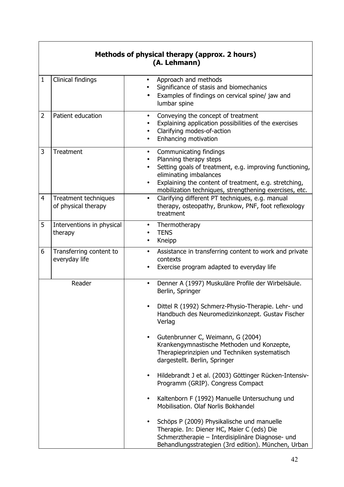|                | Methods of physical therapy (approx. 2 hours)<br>(A. Lehmann) |                                                                                                                                                                                                                                                                                                                                                    |  |
|----------------|---------------------------------------------------------------|----------------------------------------------------------------------------------------------------------------------------------------------------------------------------------------------------------------------------------------------------------------------------------------------------------------------------------------------------|--|
| $\mathbf{1}$   | Clinical findings                                             | Approach and methods<br>$\bullet$<br>Significance of stasis and biomechanics<br>Examples of findings on cervical spine/ jaw and<br>lumbar spine                                                                                                                                                                                                    |  |
| $\overline{2}$ | Patient education                                             | Conveying the concept of treatment<br>$\bullet$<br>Explaining application possibilities of the exercises<br>Clarifying modes-of-action<br>٠<br>Enhancing motivation<br>$\bullet$                                                                                                                                                                   |  |
| 3<br>4         | Treatment<br>Treatment techniques                             | Communicating findings<br>$\bullet$<br>Planning therapy steps<br>$\bullet$<br>Setting goals of treatment, e.g. improving functioning,<br>eliminating imbalances<br>Explaining the content of treatment, e.g. stretching,<br>mobilization techniques, strengthening exercises, etc.<br>Clarifying different PT techniques, e.g. manual<br>$\bullet$ |  |
|                | of physical therapy                                           | therapy, osteopathy, Brunkow, PNF, foot reflexology<br>treatment                                                                                                                                                                                                                                                                                   |  |
| 5              | Interventions in physical<br>therapy                          | Thermotherapy<br>$\bullet$<br><b>TENS</b><br>Kneipp<br>٠                                                                                                                                                                                                                                                                                           |  |
| 6              | Transferring content to<br>everyday life                      | Assistance in transferring content to work and private<br>$\bullet$<br>contexts<br>Exercise program adapted to everyday life                                                                                                                                                                                                                       |  |
|                | Reader                                                        | Denner A (1997) Muskuläre Profile der Wirbelsäule.<br>$\bullet$<br>Berlin, Springer                                                                                                                                                                                                                                                                |  |
|                |                                                               | Dittel R (1992) Schmerz-Physio-Therapie. Lehr- und<br>Handbuch des Neuromedizinkonzept. Gustav Fischer<br>Verlag                                                                                                                                                                                                                                   |  |
|                |                                                               | Gutenbrunner C, Weimann, G (2004)<br>$\bullet$<br>Krankengymnastische Methoden und Konzepte,<br>Therapieprinzipien und Techniken systematisch<br>dargestellt. Berlin, Springer                                                                                                                                                                     |  |
|                |                                                               | Hildebrandt J et al. (2003) Göttinger Rücken-Intensiv-<br>Programm (GRIP). Congress Compact                                                                                                                                                                                                                                                        |  |
|                |                                                               | Kaltenborn F (1992) Manuelle Untersuchung und<br>Mobilisation, Olaf Norlis Bokhandel                                                                                                                                                                                                                                                               |  |
|                |                                                               | Schöps P (2009) Physikalische und manuelle<br>Therapie. In: Diener HC, Maier C (eds) Die<br>Schmerztherapie - Interdisiplinäre Diagnose- und<br>Behandlungsstrategien (3rd edition). München, Urban                                                                                                                                                |  |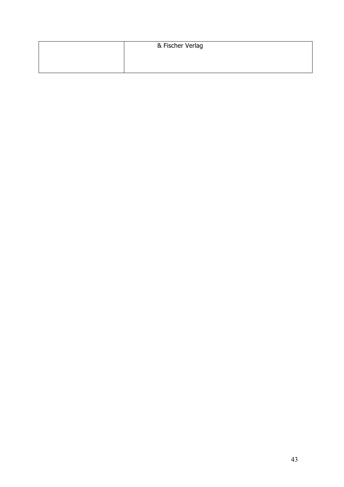| & Fischer Verlag |
|------------------|
|                  |
|                  |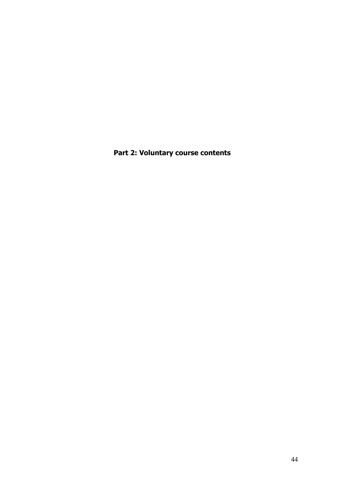**Part 2: Voluntary course contents**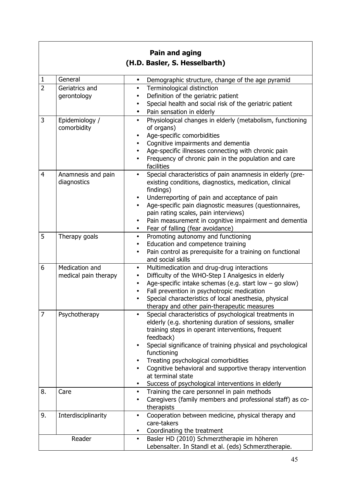| Pain and aging                                                                                               |  |  |
|--------------------------------------------------------------------------------------------------------------|--|--|
|                                                                                                              |  |  |
|                                                                                                              |  |  |
| Demographic structure, change of the age pyramid                                                             |  |  |
|                                                                                                              |  |  |
|                                                                                                              |  |  |
| Special health and social risk of the geriatric patient                                                      |  |  |
|                                                                                                              |  |  |
| Physiological changes in elderly (metabolism, functioning                                                    |  |  |
|                                                                                                              |  |  |
|                                                                                                              |  |  |
|                                                                                                              |  |  |
| Frequency of chronic pain in the population and care                                                         |  |  |
|                                                                                                              |  |  |
| Special characteristics of pain anamnesis in elderly (pre-                                                   |  |  |
| existing conditions, diagnostics, medication, clinical                                                       |  |  |
|                                                                                                              |  |  |
|                                                                                                              |  |  |
| Age-specific pain diagnostic measures (questionnaires,                                                       |  |  |
| Pain measurement in cognitive impairment and dementia                                                        |  |  |
|                                                                                                              |  |  |
|                                                                                                              |  |  |
|                                                                                                              |  |  |
| Pain control as prerequisite for a training on functional                                                    |  |  |
|                                                                                                              |  |  |
|                                                                                                              |  |  |
| Age-specific intake schemas (e.g. start low $-$ go slow)                                                     |  |  |
|                                                                                                              |  |  |
|                                                                                                              |  |  |
|                                                                                                              |  |  |
| Special characteristics of psychological treatments in                                                       |  |  |
| elderly (e.g. shortening duration of sessions, smaller                                                       |  |  |
|                                                                                                              |  |  |
|                                                                                                              |  |  |
| Special significance of training physical and psychological                                                  |  |  |
|                                                                                                              |  |  |
| Cognitive behavioral and supportive therapy intervention                                                     |  |  |
|                                                                                                              |  |  |
|                                                                                                              |  |  |
|                                                                                                              |  |  |
| Caregivers (family members and professional staff) as co-                                                    |  |  |
|                                                                                                              |  |  |
| Cooperation between medicine, physical therapy and                                                           |  |  |
|                                                                                                              |  |  |
|                                                                                                              |  |  |
| Lebensalter. In Standl et al. (eds) Schmerztherapie.                                                         |  |  |
| Age-specific illnesses connecting with chronic pain<br>Special characteristics of local anesthesia, physical |  |  |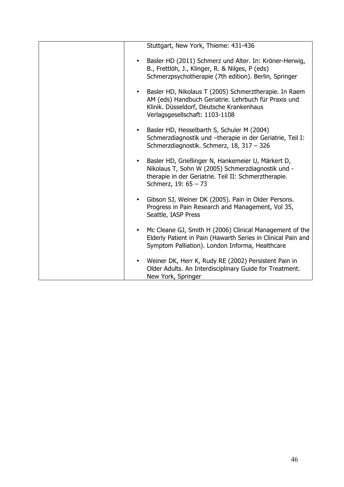| Stuttgart, New York, Thieme: 431-436                                                                                                                                                                |
|-----------------------------------------------------------------------------------------------------------------------------------------------------------------------------------------------------|
| Basler HD (2011) Schmerz und Alter. In: Kröner-Herwig,<br>$\bullet$<br>B., Frettlöh, J., Klinger, R. & Nilges, P (eds)<br>Schmerzpsychotherapie (7th edition). Berlin, Springer                     |
| Basler HD, Nikolaus T (2005) Schmerztherapie. In Raem<br>AM (eds) Handbuch Geriatrie. Lehrbuch für Praxis und<br>Klinik. Düsseldorf, Deutsche Krankenhaus<br>Verlagsgesellschaft: 1103-1108         |
| Basler HD, Hesselbarth S, Schuler M (2004)<br>Schmerzdiagnostik und -therapie in der Geriatrie, Teil I:<br>Schmerzdiagnostik. Schmerz, 18, 317 - 326                                                |
| Basler HD, Grießinger N, Hankemeier U, Märkert D,<br>$\bullet$<br>Nikolaus T, Sohn W (2005) Schmerzdiagnostik und -<br>therapie in der Geriatrie. Teil II: Schmerztherapie.<br>Schmerz, 19: 65 - 73 |
| Gibson SJ, Weiner DK (2005). Pain in Older Persons.<br>Progress in Pain Research and Management, Vol 35,<br>Seattle, IASP Press                                                                     |
| Mc Cleane GJ, Smith H (2006) Clinical Management of the<br>Elderly Patient in Pain (Hawarth Series in Clinical Pain and<br>Symptom Palliation). London Informa, Healthcare                          |
| Weiner DK, Herr K, Rudy RE (2002) Persistent Pain in<br>Older Adults. An Interdisciplinary Guide for Treatment.<br>New York, Springer                                                               |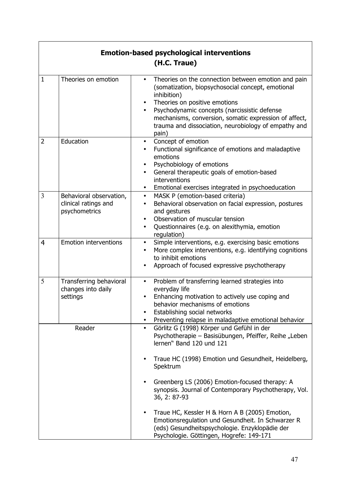| <b>Emotion-based psychological interventions</b><br>(H.C. Traue) |                                                                  |                                                                                                                                                                                                                                                                                                                                                              |
|------------------------------------------------------------------|------------------------------------------------------------------|--------------------------------------------------------------------------------------------------------------------------------------------------------------------------------------------------------------------------------------------------------------------------------------------------------------------------------------------------------------|
| $\mathbf{1}$                                                     | Theories on emotion                                              | Theories on the connection between emotion and pain<br>(somatization, biopsychosocial concept, emotional<br>inhibition)<br>Theories on positive emotions<br>$\bullet$<br>Psychodynamic concepts (narcissistic defense<br>$\bullet$<br>mechanisms, conversion, somatic expression of affect,<br>trauma and dissociation, neurobiology of empathy and<br>pain) |
| $\overline{2}$                                                   | Education                                                        | Concept of emotion<br>$\bullet$<br>Functional significance of emotions and maladaptive<br>emotions<br>Psychobiology of emotions<br>$\bullet$<br>General therapeutic goals of emotion-based<br>$\bullet$<br>interventions<br>Emotional exercises integrated in psychoeducation<br>٠                                                                           |
| 3                                                                | Behavioral observation,<br>clinical ratings and<br>psychometrics | MASK P (emotion-based criteria)<br>$\bullet$<br>Behavioral observation on facial expression, postures<br>$\bullet$<br>and gestures<br>Observation of muscular tension<br>$\bullet$<br>Questionnaires (e.g. on alexithymia, emotion<br>٠<br>regulation)                                                                                                       |
| 4                                                                | <b>Emotion interventions</b>                                     | Simple interventions, e.g. exercising basic emotions<br>$\bullet$<br>More complex interventions, e.g. identifying cognitions<br>$\bullet$<br>to inhibit emotions<br>Approach of focused expressive psychotherapy                                                                                                                                             |
| 5                                                                | Transferring behavioral<br>changes into daily<br>settings        | Problem of transferring learned strategies into<br>$\bullet$<br>everyday life<br>Enhancing motivation to actively use coping and<br>٠<br>behavior mechanisms of emotions<br>Establishing social networks<br>Preventing relapse in maladaptive emotional behavior<br>$\bullet$                                                                                |
| Reader                                                           |                                                                  | Görlitz G (1998) Körper und Gefühl in der<br>$\bullet$<br>Psychotherapie – Basisübungen, Pfeiffer, Reihe "Leben<br>lernen" Band 120 und 121                                                                                                                                                                                                                  |
|                                                                  |                                                                  | Traue HC (1998) Emotion und Gesundheit, Heidelberg,<br>Spektrum<br>Greenberg LS (2006) Emotion-focused therapy: A<br>synopsis. Journal of Contemporary Psychotherapy, Vol.                                                                                                                                                                                   |
|                                                                  |                                                                  | 36, 2: 87-93<br>Traue HC, Kessler H & Horn A B (2005) Emotion,<br>٠<br>Emotionsregulation und Gesundheit. In Schwarzer R<br>(eds) Gesundheitspsychologie. Enzyklopädie der<br>Psychologie. Göttingen, Hogrefe: 149-171                                                                                                                                       |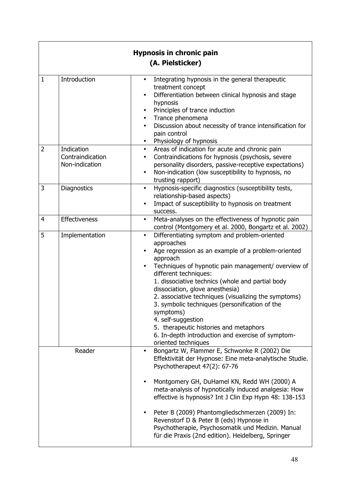|                |                                                  | <b>Hypnosis in chronic pain</b><br>(A. Pielsticker)                                                                                                                                                                                                                                                                                                                                                                                                                                                                                                                                 |
|----------------|--------------------------------------------------|-------------------------------------------------------------------------------------------------------------------------------------------------------------------------------------------------------------------------------------------------------------------------------------------------------------------------------------------------------------------------------------------------------------------------------------------------------------------------------------------------------------------------------------------------------------------------------------|
| $\mathbf{1}$   | Introduction                                     | Integrating hypnosis in the general therapeutic<br>$\bullet$<br>treatment concept<br>Differentiation between clinical hypnosis and stage<br>hypnosis<br>Principles of trance induction<br>$\bullet$<br>Trance phenomena<br>$\bullet$<br>Discussion about necessity of trance intensification for<br>$\bullet$<br>pain control<br>Physiology of hypnosis<br>$\bullet$                                                                                                                                                                                                                |
| $\overline{2}$ | Indication<br>Contraindication<br>Non-indication | Areas of indication for acute and chronic pain<br>$\bullet$<br>Contraindications for hypnosis (psychosis, severe<br>٠<br>personality disorders, passive-receptive expectations)<br>Non-indication (low susceptibility to hypnosis, no<br>$\bullet$<br>trusting rapport)                                                                                                                                                                                                                                                                                                             |
| 3              | <b>Diagnostics</b>                               | Hypnosis-specific diagnostics (susceptibility tests,<br>$\bullet$<br>relationship-based aspects)<br>Impact of susceptibility to hypnosis on treatment<br>success.                                                                                                                                                                                                                                                                                                                                                                                                                   |
| $\overline{4}$ | Effectiveness                                    | Meta-analyses on the effectiveness of hypnotic pain<br>$\bullet$<br>control (Montgomery et al. 2000, Bongartz et al. 2002)                                                                                                                                                                                                                                                                                                                                                                                                                                                          |
| 5              | Implementation                                   | Differentiating symptom and problem-oriented<br>$\bullet$<br>approaches<br>Age regression as an example of a problem-oriented<br>approach<br>Techniques of hypnotic pain management/ overview of<br>different techniques:<br>1. dissociative technics (whole and partial body<br>dissociation, glove anesthesia)<br>2. associative techniques (visualizing the symptoms)<br>3. symbolic techniques (personification of the<br>symptoms)<br>4. self-suggestion<br>5. therapeutic histories and metaphors<br>6. In-depth introduction and exercise of symptom-<br>oriented techniques |
| Reader         |                                                  | Bongartz W, Flammer E, Schwonke R (2002) Die<br>$\bullet$<br>Effektivität der Hypnose: Eine meta-analytische Studie.<br>Psychotherapeut 47(2): 67-76<br>Montgomery GH, DuHamel KN, Redd WH (2000) A<br>$\bullet$<br>meta-analysis of hypnotically induced analgesia: How<br>effective is hypnosis? Int J Clin Exp Hypn 48: 138-153<br>Peter B (2009) Phantomgliedschmerzen (2009) In:<br>Revenstorf D & Peter B (eds) Hypnose in<br>Psychotherapie, Psychosomatik und Medizin. Manual<br>für die Praxis (2nd edition). Heidelberg, Springer                                         |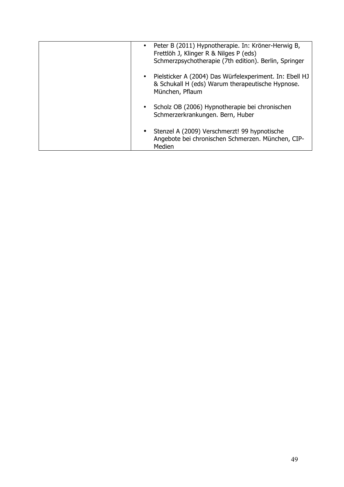| Peter B (2011) Hypnotherapie. In: Kröner-Herwig B,<br>Frettlöh J, Klinger R & Nilges P (eds)<br>Schmerzpsychotherapie (7th edition). Berlin, Springer |
|-------------------------------------------------------------------------------------------------------------------------------------------------------|
| Pielsticker A (2004) Das Würfelexperiment. In: Ebell HJ<br>& Schukall H (eds) Warum therapeutische Hypnose.<br>München, Pflaum                        |
| Scholz OB (2006) Hypnotherapie bei chronischen<br>Schmerzerkrankungen. Bern, Huber                                                                    |
| Stenzel A (2009) Verschmerzt! 99 hypnotische<br>Angebote bei chronischen Schmerzen. München, CIP-<br>Medien                                           |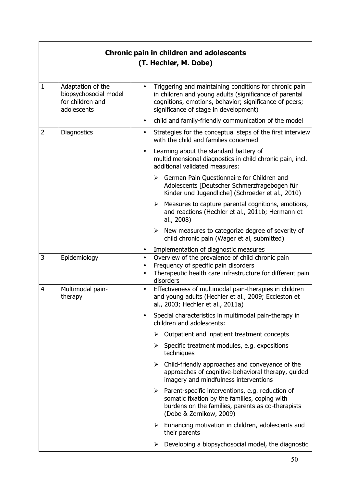| <b>Chronic pain in children and adolescents</b><br>(T. Hechler, M. Dobe) |                                                                               |                                                                                                                                                                                                                                  |
|--------------------------------------------------------------------------|-------------------------------------------------------------------------------|----------------------------------------------------------------------------------------------------------------------------------------------------------------------------------------------------------------------------------|
| $\mathbf{1}$                                                             | Adaptation of the<br>biopsychosocial model<br>for children and<br>adolescents | Triggering and maintaining conditions for chronic pain<br>$\bullet$<br>in children and young adults (significance of parental<br>cognitions, emotions, behavior; significance of peers;<br>significance of stage in development) |
|                                                                          |                                                                               | child and family-friendly communication of the model<br>$\bullet$                                                                                                                                                                |
| 2                                                                        | <b>Diagnostics</b>                                                            | Strategies for the conceptual steps of the first interview<br>$\bullet$<br>with the child and families concerned                                                                                                                 |
|                                                                          |                                                                               | Learning about the standard battery of<br>multidimensional diagnostics in child chronic pain, incl.<br>additional validated measures:                                                                                            |
|                                                                          |                                                                               | $\triangleright$ German Pain Questionnaire for Children and<br>Adolescents [Deutscher Schmerzfragebogen für<br>Kinder und Jugendliche] (Schroeder et al., 2010)                                                                  |
|                                                                          |                                                                               | Measures to capture parental cognitions, emotions,<br>➤<br>and reactions (Hechler et al., 2011b; Hermann et<br>al., 2008)                                                                                                        |
|                                                                          |                                                                               | New measures to categorize degree of severity of<br>➤<br>child chronic pain (Wager et al, submitted)                                                                                                                             |
|                                                                          |                                                                               | Implementation of diagnostic measures<br>٠                                                                                                                                                                                       |
| 3                                                                        | Epidemiology                                                                  | Overview of the prevalence of child chronic pain<br>$\bullet$<br>Frequency of specific pain disorders<br>$\bullet$<br>Therapeutic health care infrastructure for different pain<br>disorders                                     |
| $\overline{4}$                                                           | Multimodal pain-<br>therapy                                                   | Effectiveness of multimodal pain-therapies in children<br>$\bullet$<br>and young adults (Hechler et al., 2009; Eccleston et<br>al., 2003; Hechler et al., 2011a)                                                                 |
|                                                                          |                                                                               | Special characteristics in multimodal pain-therapy in<br>$\bullet$<br>children and adolescents:                                                                                                                                  |
|                                                                          |                                                                               | Outpatient and inpatient treatment concepts<br>➤                                                                                                                                                                                 |
|                                                                          |                                                                               | Specific treatment modules, e.g. expositions<br>➤<br>techniques                                                                                                                                                                  |
|                                                                          |                                                                               | Child-friendly approaches and conveyance of the<br>➤<br>approaches of cognitive-behavioral therapy, guided<br>imagery and mindfulness interventions                                                                              |
|                                                                          |                                                                               | Parent-specific interventions, e.g. reduction of<br>➤<br>somatic fixation by the families, coping with<br>burdens on the families, parents as co-therapists<br>(Dobe & Zernikow, 2009)                                           |
|                                                                          |                                                                               | $\triangleright$ Enhancing motivation in children, adolescents and<br>their parents                                                                                                                                              |
|                                                                          |                                                                               | Developing a biopsychosocial model, the diagnostic<br>➤                                                                                                                                                                          |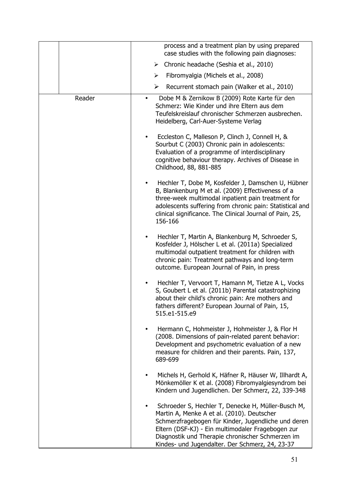|        | process and a treatment plan by using prepared<br>case studies with the following pain diagnoses:                                                                                                                                                                                                                                |
|--------|----------------------------------------------------------------------------------------------------------------------------------------------------------------------------------------------------------------------------------------------------------------------------------------------------------------------------------|
|        | Chronic headache (Seshia et al., 2010)<br>➤                                                                                                                                                                                                                                                                                      |
|        | Fibromyalgia (Michels et al., 2008)<br>➤                                                                                                                                                                                                                                                                                         |
|        | ➤<br>Recurrent stomach pain (Walker et al., 2010)                                                                                                                                                                                                                                                                                |
| Reader | Dobe M & Zernikow B (2009) Rote Karte für den<br>$\bullet$                                                                                                                                                                                                                                                                       |
|        | Schmerz: Wie Kinder und ihre Eltern aus dem<br>Teufelskreislauf chronischer Schmerzen ausbrechen.<br>Heidelberg, Carl-Auer-Systeme Verlag                                                                                                                                                                                        |
|        | Eccleston C, Malleson P, Clinch J, Connell H, &<br>Sourbut C (2003) Chronic pain in adolescents:<br>Evaluation of a programme of interdisciplinary<br>cognitive behaviour therapy. Archives of Disease in<br>Childhood, 88, 881-885                                                                                              |
|        | Hechler T, Dobe M, Kosfelder J, Damschen U, Hübner<br>B, Blankenburg M et al. (2009) Effectiveness of a<br>three-week multimodal inpatient pain treatment for<br>adolescents suffering from chronic pain: Statistical and<br>clinical significance. The Clinical Journal of Pain, 25,<br>156-166                                 |
|        | Hechler T, Martin A, Blankenburg M, Schroeder S,<br>$\bullet$<br>Kosfelder J, Hölscher L et al. (2011a) Specialized<br>multimodal outpatient treatment for children with<br>chronic pain: Treatment pathways and long-term<br>outcome. European Journal of Pain, in press                                                        |
|        | Hechler T, Vervoort T, Hamann M, Tietze A L, Vocks<br>S, Goubert L et al. (2011b) Parental catastrophizing<br>about their child's chronic pain: Are mothers and<br>fathers different? European Journal of Pain, 15,<br>515.e1-515.e9                                                                                             |
|        | Hermann C, Hohmeister J, Hohmeister J, & Flor H<br>$\bullet$<br>(2008. Dimensions of pain-related parent behavior:<br>Development and psychometric evaluation of a new<br>measure for children and their parents. Pain, 137,<br>689-699                                                                                          |
|        | Michels H, Gerhold K, Häfner R, Häuser W, Illhardt A,<br>$\bullet$<br>Mönkemöller K et al. (2008) Fibromyalgiesyndrom bei<br>Kindern und Jugendlichen. Der Schmerz, 22, 339-348                                                                                                                                                  |
|        | Schroeder S, Hechler T, Denecke H, Müller-Busch M,<br>$\bullet$<br>Martin A, Menke A et al. (2010). Deutscher<br>Schmerzfragebogen für Kinder, Jugendliche und deren<br>Eltern (DSF-KJ) - Ein multimodaler Fragebogen zur<br>Diagnostik und Therapie chronischer Schmerzen im<br>Kindes- und Jugendalter. Der Schmerz, 24, 23-37 |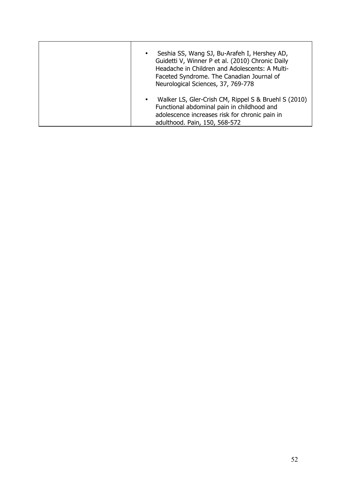| Seshia SS, Wang SJ, Bu-Arafeh I, Hershey AD,<br>$\bullet$<br>Guidetti V, Winner P et al. (2010) Chronic Daily<br>Headache in Children and Adolescents: A Multi-<br>Faceted Syndrome. The Canadian Journal of<br>Neurological Sciences, 37, 769-778 |
|----------------------------------------------------------------------------------------------------------------------------------------------------------------------------------------------------------------------------------------------------|
| Walker LS, Gler-Crish CM, Rippel S & Bruehl S (2010)<br>$\bullet$<br>Functional abdominal pain in childhood and<br>adolescence increases risk for chronic pain in<br>adulthood. Pain, 150, 568-572                                                 |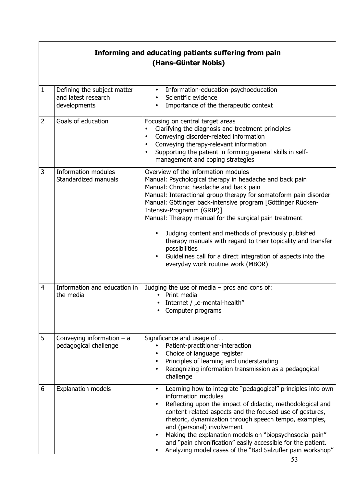#### **Informing and educating patients suffering from pain (Hans-Günter Nobis)** 1 Defining the subject matter and latest research developments • Information-education-psychoeducation Scientific evidence • Importance of the therapeutic context 2 Goals of education **Focusing on central target areas** • Clarifying the diagnosis and treatment principles • Conveying disorder-related information<br>• Conveying therany-relevant information • Conveying therapy-relevant information<br>• Supporting the patient in forming general • Supporting the patient in forming general skills in selfmanagement and coping strategies 3 Information modules Standardized manuals Overview of the information modules Manual: Psychological therapy in headache and back pain Manual: Chronic headache and back pain Manual: Interactional group therapy for somatoform pain disorder Manual: Göttinger back-intensive program [Göttinger Rücken-Intensiv-Programm (GRIP)] Manual: Therapy manual for the surgical pain treatment • Judging content and methods of previously published therapy manuals with regard to their topicality and transfer possibilities • Guidelines call for a direct integration of aspects into the everyday work routine work (MBOR) 4 Information and education in the media Judging the use of media – pros and cons of: • Print media • Internet /  $n$ e-mental-health" • Computer programs 5 Conveying information – a pedagogical challenge Significance and usage of … • Patient-practitioner-interaction Choice of language register • Principles of learning and understanding • Recognizing information transmission as a pedagogical challenge 6 Explanation models • Learning how to integrate "pedagogical" principles into own information modules Reflecting upon the impact of didactic, methodological and content-related aspects and the focused use of gestures, rhetoric, dynamization through speech tempo, examples, and (personal) involvement • Making the explanation models on "biopsychosocial pain" and "pain chronification" easily accessible for the patient.

• Analyzing model cases of the "Bad Salzufler pain workshop"